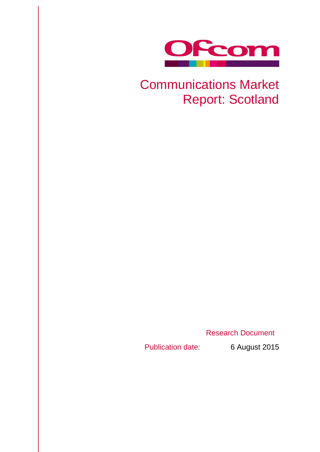

# Communications Market Report: Scotland

Research Document

Publication date: 6 August 2015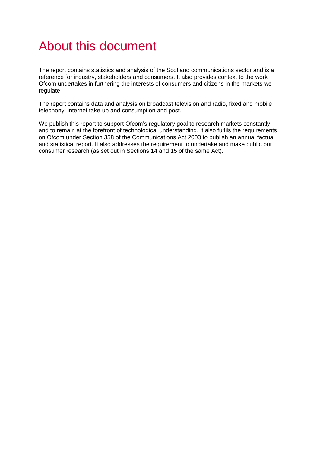# About this document

The report contains statistics and analysis of the Scotland communications sector and is a reference for industry, stakeholders and consumers. It also provides context to the work Ofcom undertakes in furthering the interests of consumers and citizens in the markets we regulate.

The report contains data and analysis on broadcast television and radio, fixed and mobile telephony, internet take-up and consumption and post.

We publish this report to support Ofcom's regulatory goal to research markets constantly and to remain at the forefront of technological understanding. It also fulfils the requirements on Ofcom under Section 358 of the Communications Act 2003 to publish an annual factual and statistical report. It also addresses the requirement to undertake and make public our consumer research (as set out in Sections 14 and 15 of the same Act).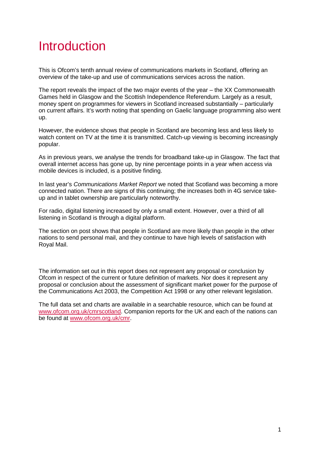# Introduction

This is Ofcom's tenth annual review of communications markets in Scotland, offering an overview of the take-up and use of communications services across the nation.

The report reveals the impact of the two major events of the year – the XX Commonwealth Games held in Glasgow and the Scottish Independence Referendum. Largely as a result, money spent on programmes for viewers in Scotland increased substantially – particularly on current affairs. It's worth noting that spending on Gaelic language programming also went up.

However, the evidence shows that people in Scotland are becoming less and less likely to watch content on TV at the time it is transmitted. Catch-up viewing is becoming increasingly popular.

As in previous years, we analyse the trends for broadband take-up in Glasgow. The fact that overall internet access has gone up, by nine percentage points in a year when access via mobile devices is included, is a positive finding.

In last year's *Communications Market Report* we noted that Scotland was becoming a more connected nation. There are signs of this continuing; the increases both in 4G service takeup and in tablet ownership are particularly noteworthy.

For radio, digital listening increased by only a small extent. However, over a third of all listening in Scotland is through a digital platform.

The section on post shows that people in Scotland are more likely than people in the other nations to send personal mail, and they continue to have high levels of satisfaction with Royal Mail.

The information set out in this report does not represent any proposal or conclusion by Ofcom in respect of the current or future definition of markets. Nor does it represent any proposal or conclusion about the assessment of significant market power for the purpose of the Communications Act 2003, the Competition Act 1998 or any other relevant legislation.

The full data set and charts are available in a searchable resource, which can be found at [www.ofcom.org.uk/cmrscotland.](http://www.ofcom.org.uk/cmrscotland) Companion reports for the UK and each of the nations can be found at [www.ofcom.org.uk/cmr.](http://www.ofcom.org.uk/cmr)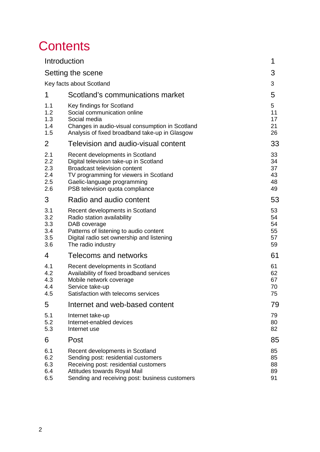# **Contents**

|                                        | Introduction                                                                                                                                                                                                                 | 1                                |  |  |  |
|----------------------------------------|------------------------------------------------------------------------------------------------------------------------------------------------------------------------------------------------------------------------------|----------------------------------|--|--|--|
| Setting the scene                      |                                                                                                                                                                                                                              |                                  |  |  |  |
| Key facts about Scotland               |                                                                                                                                                                                                                              |                                  |  |  |  |
| 1                                      | Scotland's communications market                                                                                                                                                                                             | 5                                |  |  |  |
| 1.1<br>1.2<br>1.3<br>1.4<br>1.5        | Key findings for Scotland<br>Social communication online<br>Social media<br>Changes in audio-visual consumption in Scotland<br>Analysis of fixed broadband take-up in Glasgow                                                | 5<br>11<br>17<br>21<br>26        |  |  |  |
| 2                                      | Television and audio-visual content                                                                                                                                                                                          | 33                               |  |  |  |
| 2.1<br>2.2<br>2.3<br>2.4<br>2.5<br>2.6 | Recent developments in Scotland<br>Digital television take-up in Scotland<br><b>Broadcast television content</b><br>TV programming for viewers in Scotland<br>Gaelic-language programming<br>PSB television quota compliance | 33<br>34<br>37<br>43<br>48<br>49 |  |  |  |
| 3                                      | Radio and audio content                                                                                                                                                                                                      | 53                               |  |  |  |
| 3.1<br>3.2<br>3.3<br>3.4<br>3.5<br>3.6 | Recent developments in Scotland<br>Radio station availability<br>DAB coverage<br>Patterns of listening to audio content<br>Digital radio set ownership and listening<br>The radio industry                                   | 53<br>54<br>54<br>55<br>57<br>59 |  |  |  |
| 4                                      | Telecoms and networks                                                                                                                                                                                                        | 61                               |  |  |  |
| 4.1<br>4.2<br>4.3<br>4.4<br>4.5        | Recent developments in Scotland<br>Availability of fixed broadband services<br>Mobile network coverage<br>Service take-up<br>Satisfaction with telecoms services                                                             | 61<br>62<br>67<br>70<br>75       |  |  |  |
| 5                                      | Internet and web-based content                                                                                                                                                                                               | 79                               |  |  |  |
| 5.1<br>5.2<br>5.3                      | Internet take-up<br>Internet-enabled devices<br>Internet use                                                                                                                                                                 | 79<br>80<br>82                   |  |  |  |
| 6                                      | Post                                                                                                                                                                                                                         | 85                               |  |  |  |
| 6.1<br>6.2<br>6.3<br>6.4<br>6.5        | Recent developments in Scotland<br>Sending post: residential customers<br>Receiving post: residential customers<br>Attitudes towards Royal Mail<br>Sending and receiving post: business customers                            | 85<br>85<br>88<br>89<br>91       |  |  |  |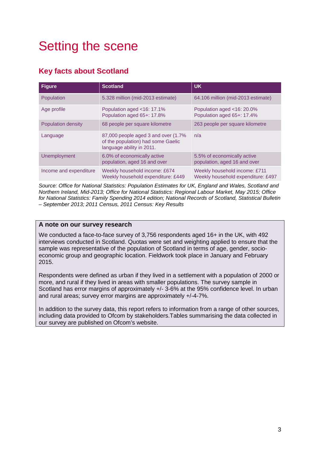# <span id="page-4-0"></span>Setting the scene

# <span id="page-4-1"></span>**Key facts about Scotland**

| <b>Figure</b>          | <b>Scotland</b>                                                                                         | <b>UK</b>                                                           |
|------------------------|---------------------------------------------------------------------------------------------------------|---------------------------------------------------------------------|
| Population             | 5.328 million (mid-2013 estimate)                                                                       | 64.106 million (mid-2013 estimate)                                  |
| Age profile            | Population aged <16: 17.1%<br>Population aged 65+: 17.8%                                                | Population aged <16: 20.0%<br>Population aged 65+: 17.4%            |
| Population density     | 68 people per square kilometre                                                                          | 263 people per square kilometre                                     |
| Language               | 87,000 people aged 3 and over (1.7%)<br>of the population) had some Gaelic<br>language ability in 2011. | n/a                                                                 |
| Unemployment           | 6.0% of economically active<br>population, aged 16 and over                                             | 5.5% of economically active<br>population, aged 16 and over         |
| Income and expenditure | Weekly household income: £674<br>Weekly household expenditure: £449                                     | Weekly household income: £711<br>Weekly household expenditure: £497 |

*Source: Office for National Statistics: Population Estimates for UK, England and Wales, Scotland and Northern Ireland, Mid-2013; Office for National Statistics: Regional Labour Market, May 2015; Office for National Statistics: Family Spending 2014 edition; National Records of Scotland, Statistical Bulletin – September 2013; 2011 Census, 2011 Census: Key Results*

# **A note on our survey research**

We conducted a face-to-face survey of 3,756 respondents aged 16+ in the UK, with 492 interviews conducted in Scotland. Quotas were set and weighting applied to ensure that the sample was representative of the population of Scotland in terms of age, gender, socioeconomic group and geographic location. Fieldwork took place in January and February 2015.

Respondents were defined as urban if they lived in a settlement with a population of 2000 or more, and rural if they lived in areas with smaller populations. The survey sample in Scotland has error margins of approximately +/- 3-6% at the 95% confidence level. In urban and rural areas; survey error margins are approximately +/-4-7%.

In addition to the survey data, this report refers to information from a range of other sources, including data provided to Ofcom by stakeholders.Tables summarising the data collected in our survey are published on Ofcom's website.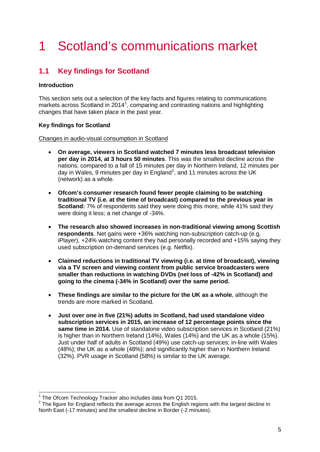# 1 Scotland's communications market

# <span id="page-6-0"></span>**1.1 Key findings for Scotland**

# **Introduction**

This section sets out a selection of the key facts and figures relating to communications markets across Scotland in 20[1](#page-6-1)4<sup>1</sup>, comparing and contrasting nations and highlighting changes that have taken place in the past year.

# **Key findings for Scotland**

#### Changes in audio-visual consumption in Scotland

- **On average, viewers in Scotland watched 7 minutes less broadcast television per day in 2014, at 3 hours 50 minutes**. This was the smallest decline across the nations, compared to a fall of 15 minutes per day in Northern Ireland, 12 minutes per day in Wales, 9 minutes per day in England<sup>[2](#page-6-2)</sup>, and 11 minutes across the UK (network) as a whole.
- **Ofcom's consumer research found fewer people claiming to be watching traditional TV (i.e. at the time of broadcast) compared to the previous year in Scotland:** 7% of respondents said they were doing this more, while 41% said they were doing it less; a net change of -34%.
- **The research also showed increases in non-traditional viewing among Scottish respondents**. Net gains were +36% watching non-subscription catch-up (e.g. iPlayer), +24% watching content they had personally recorded and +15% saying they used subscription on-demand services (e.g. Netflix).
- **Claimed reductions in traditional TV viewing (i.e. at time of broadcast), viewing via a TV screen and viewing content from public service broadcasters were smaller than reductions in watching DVDs (net loss of -42% in Scotland) and going to the cinema (-34% in Scotland) over the same period.**
- **These findings are similar to the picture for the UK as a whole**, although the trends are more marked in Scotland.
- **Just over one in five (21%) adults in Scotland, had used standalone video subscription services in 2015, an increase of 12 percentage points since the same time in 2014.** Use of standalone video subscription services in Scotland (21%) is higher than in Northern Ireland (14%), Wales (14%) and the UK as a whole (15%). Just under half of adults in Scotland (49%) use catch-up services; in-line with Wales (48%); the UK as a whole (48%); and significantly higher than in Northern Ireland (32%). PVR usage in Scotland (58%) is similar to the UK average.

 $1$  The Ofcom Technology Tracker also includes data from Q1 2015.  $\overline{a}$ 

<span id="page-6-2"></span><span id="page-6-1"></span><sup>&</sup>lt;sup>2</sup> The figure for England reflects the average across the English regions with the largest decline in North East (-17 minutes) and the smallest decline in Border (-2 minutes).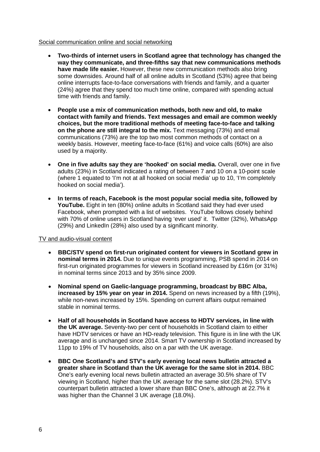#### Social communication online and social networking

- **Two-thirds of internet users in Scotland agree that technology has changed the way they communicate, and three-fifths say that new communications methods have made life easier.** However, these new communication methods also bring some downsides. Around half of all online adults in Scotland (53%) agree that being online interrupts face-to-face conversations with friends and family, and a quarter (24%) agree that they spend too much time online, compared with spending actual time with friends and family.
- **People use a mix of communication methods, both new and old, to make contact with family and friends. Text messages and email are common weekly choices, but the more traditional methods of meeting face-to-face and talking on the phone are still integral to the mix.** Text messaging (73%) and email communications (73%) are the top two most common methods of contact on a weekly basis. However, meeting face-to-face (61%) and voice calls (60%) are also used by a majority.
- **One in five adults say they are 'hooked' on social media.** Overall, over one in five adults (23%) in Scotland indicated a rating of between 7 and 10 on a 10-point scale (where 1 equated to 'I'm not at all hooked on social media' up to 10, 'I'm completely hooked on social media').
- **In terms of reach, Facebook is the most popular social media site, followed by YouTube.** Eight in ten (80%) online adults in Scotland said they had ever used Facebook, when prompted with a list of websites. YouTube follows closely behind with 70% of online users in Scotland having 'ever used' it. Twitter (32%), WhatsApp (29%) and LinkedIn (28%) also used by a significant minority.

# TV and audio-visual content

- **BBC/STV spend on first-run originated content for viewers in Scotland grew in nominal terms in 2014.** Due to unique events programming, PSB spend in 2014 on first-run originated programmes for viewers in Scotland increased by £16m (or 31%) in nominal terms since 2013 and by 35% since 2009.
- **Nominal spend on Gaelic-language programming, broadcast by BBC Alba, increased by 15% year on year in 2014.** Spend on news increased by a fifth (19%), while non-news increased by 15%. Spending on current affairs output remained stable in nominal terms.
- **Half of all households in Scotland have access to HDTV services, in line with the UK average.** Seventy-two per cent of households in Scotland claim to either have HDTV services or have an HD-ready television. This figure is in line with the UK average and is unchanged since 2014. Smart TV ownership in Scotland increased by 11pp to 19% of TV households, also on a par with the UK average.
- **BBC One Scotland's and STV's early evening local news bulletin attracted a greater share in Scotland than the UK average for the same slot in 2014.** BBC One's early evening local news bulletin attracted an average 30.5% share of TV viewing in Scotland, higher than the UK average for the same slot (28.2%). STV's counterpart bulletin attracted a lower share than BBC One's, although at 22.7% it was higher than the Channel 3 UK average (18.0%).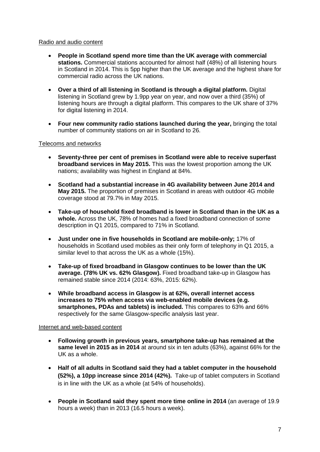# Radio and audio content

- **People in Scotland spend more time than the UK average with commercial stations.** Commercial stations accounted for almost half (48%) of all listening hours in Scotland in 2014. This is 5pp higher than the UK average and the highest share for commercial radio across the UK nations.
- **Over a third of all listening in Scotland is through a digital platform.** Digital listening in Scotland grew by 1.9pp year on year, and now over a third (35%) of listening hours are through a digital platform. This compares to the UK share of 37% for digital listening in 2014.
- **Four new community radio stations launched during the year,** bringing the total number of community stations on air in Scotland to 26.

# Telecoms and networks

- **Seventy-three per cent of premises in Scotland were able to receive superfast broadband services in May 2015.** This was the lowest proportion among the UK nations; availability was highest in England at 84%.
- **Scotland had a substantial increase in 4G availability between June 2014 and May 2015.** The proportion of premises in Scotland in areas with outdoor 4G mobile coverage stood at 79.7% in May 2015.
- **Take-up of household fixed broadband is lower in Scotland than in the UK as a whole.** Across the UK, 78% of homes had a fixed broadband connection of some description in Q1 2015, compared to 71% in Scotland.
- **Just under one in five households in Scotland are mobile-only;** 17% of households in Scotland used mobiles as their only form of telephony in Q1 2015, a similar level to that across the UK as a whole (15%).
- **Take-up of fixed broadband in Glasgow continues to be lower than the UK average. (78% UK vs. 62% Glasgow).** Fixed broadband take-up in Glasgow has remained stable since 2014 (2014: 63%, 2015: 62%).
- **While broadband access in Glasgow is at 62%, overall internet access increases to 75% when access via web-enabled mobile devices (e.g. smartphones, PDAs and tablets) is included.** This compares to 63% and 66% respectively for the same Glasgow-specific analysis last year.

# Internet and web-based content

- **Following growth in previous years, smartphone take-up has remained at the same level in 2015 as in 2014** at around six in ten adults (63%), against 66% for the UK as a whole.
- **Half of all adults in Scotland said they had a tablet computer in the household (52%), a 10pp increase since 2014 (42%).** Take-up of tablet computers in Scotland is in line with the UK as a whole (at 54% of households).
- **People in Scotland said they spent more time online in 2014** (an average of 19.9 hours a week) than in 2013 (16.5 hours a week).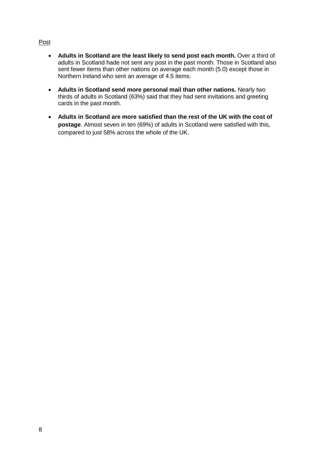# Post

- **Adults in Scotland are the least likely to send post each month.** Over a third of adults in Scotland hade not sent any post in the past month. Those in Scotland also sent fewer items than other nations on average each month (5.0) except those in Northern Ireland who sent an average of 4.5 items.
- **Adults in Scotland send more personal mail than other nations.** Nearly two thirds of adults in Scotland (63%) said that they had sent invitations and greeting cards in the past month.
- **Adults in Scotland are more satisfied than the rest of the UK with the cost of postage**. Almost seven in ten (69%) of adults in Scotland were satisfied with this, compared to just 58% across the whole of the UK.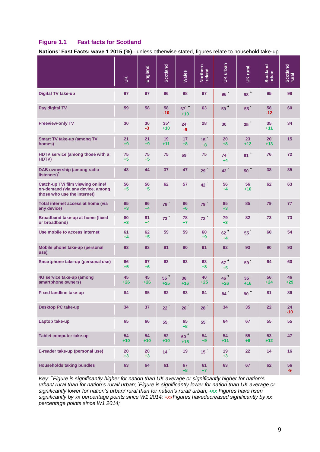# **Figure 1.1 Fast facts for Scotland**

**Nations' Fast Facts: wave 1 2015 (%)**– unless otherwise stated, figures relate to household take-up

|                                                                                                      | $\leq$      | England     | <b>Scotland</b> | Wales                    | Northern<br>Ireland     | UK urban                  | UK rural                 | Scotland<br>urban | Scotland<br>rural |
|------------------------------------------------------------------------------------------------------|-------------|-------------|-----------------|--------------------------|-------------------------|---------------------------|--------------------------|-------------------|-------------------|
| <b>Digital TV take-up</b>                                                                            | 97          | 97          | 96              | 98                       | 97                      | 96                        | $98+$                    | 95                | 98                |
| Pay digital TV                                                                                       | 59          | 58          | 58<br>$-10$     | $67^{1}$<br>$+10$        | 63                      | $59+$                     | 55                       | 58<br>$-12$       | 60                |
| <b>Freeview-only TV</b>                                                                              | 30          | 30<br>$-3$  | $35^2$<br>$+10$ | 24<br>-9                 | 28                      | $30-1$                    | $35+$                    | 35<br>$+11$       | 34                |
| <b>Smart TV take-up (among TV</b><br>homes)                                                          | 21<br>$+9$  | 21<br>$+9$  | 19<br>$+11$     | 17<br>$+8$               | 15 <sup>2</sup><br>$+8$ | 20<br>$+8$                | 23<br>$+12$              | 20<br>$+13$       | 15                |
| HDTV service (among those with a<br>HDTV)                                                            | 75<br>$+5$  | 75<br>$+5$  | 75              | 69                       | 75                      | 74 <sup>°</sup><br>$+4$   | $81$ <sup>+</sup>        | 76                | 72                |
| <b>DAB ownership (among radio</b><br>listeners $)^3$                                                 | 43          | 44          | 37              | 47                       | 29 <sup>°</sup>         | 42 <sup>7</sup>           | $50+$                    | 38                | 35                |
| Catch-up TV/ film viewing online/<br>on-demand (via any device, among<br>those who use the internet) | 56<br>$+5$  | 56<br>$+5$  | 62              | 57                       | 42 <sup>2</sup>         | 56<br>$+4$                | 56<br>$+10$              | 62                | 63                |
| Total internet access at home (via<br>any device)                                                    | 85<br>$+3$  | 86<br>$+4$  | 78              | 86<br>$+6$               | 79                      | 85<br>$+3$                | 85                       | 79                | 77                |
| Broadband take-up at home (fixed<br>or broadband)                                                    | 80<br>$+3$  | 81<br>$+4$  | 73 <sup>2</sup> | 78<br>$+7$               | 72 <sup>2</sup>         | 79<br>$+3$                | 82                       | 73                | 73                |
| Use mobile to access internet                                                                        | 61<br>$+4$  | 62<br>$+5$  | 59              | 59                       | 60<br>$+9$              | $62+$<br>$+4$             | 55                       | 60                | 54                |
| Mobile phone take-up (personal<br>use)                                                               | 93          | 93          | 91              | 90                       | 91                      | 92                        | 93                       | 90                | 93                |
| Smartphone take-up (personal use)                                                                    | 66<br>$+5$  | 67<br>$+6$  | 63              | 63                       | 63<br>$+8$              | $67$ <sup>+</sup><br>$+5$ | 59                       | 64                | 60                |
| 4G service take-up (among<br>smartphone owners)                                                      | 45<br>$+26$ | 45<br>$+26$ | $55+$<br>$+25$  | 36 <sup>°</sup><br>$+16$ | 40<br>$+25$             | $46 -$<br>$+26$           | 35 <sup>°</sup><br>$+16$ | 56<br>$+24$       | 46<br>$+29$       |
| <b>Fixed landline take-up</b>                                                                        | 84          | 85          | 82              | 83                       | 84                      | 84                        | $90+$                    | 81                | 86                |
| <b>Desktop PC take-up</b>                                                                            | 34          | 37          | 22 <sup>2</sup> | 26 <sup>2</sup>          | 28 <sup>2</sup>         | 34                        | 35                       | 22                | 24<br>$-10$       |
| Laptop take-up                                                                                       | 65          | 66          | $55-1$          | 65<br>$+8$               | $55-1$                  | 64                        | 67                       | 55                | 55                |
| Tablet computer take-up                                                                              | 54<br>$+10$ | 54<br>$+10$ | 52<br>$+10$     | $60+$<br>$+15$           | 54<br>$+9$              | 54<br>$+11$               | 55<br>$+8$               | 53<br>$+12$       | 47                |
| E-reader take-up (personal use)                                                                      | 20<br>$+3$  | 20<br>$+3$  | 14 <sup>2</sup> | 19                       | 15 <sup>2</sup>         | 19<br>$+3$                | 22                       | 14                | 16                |
| <b>Households taking bundles</b>                                                                     | 63          | 64          | 61              | 67<br>$+8$               | 61<br>$+7$              | 63                        | 67                       | 62                | 56<br>-9          |

*Key: + Figure is significantly higher for nation than UK average or significantly higher for nation's urban/ rural than for nation's rural/ urban; - Figure is significantly lower for nation than UK average or significantly lower for nation's urban/ rural than for nation's rural/ urban; +xx Figures have risen*  significantly by xx percentage points since W1 2014; *+xxFigures havedecreased significantly by xx percentage points since W1 2014;*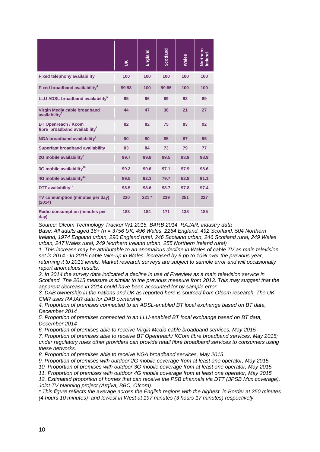|                                                                         | $\leq$ | England | <b>Scotland</b> | Wales | Northern<br>Ireland |
|-------------------------------------------------------------------------|--------|---------|-----------------|-------|---------------------|
| <b>Fixed telephony availability</b>                                     | 100    | 100     | 100             | 100   | 100                 |
| Fixed broadband availability <sup>4</sup>                               | 99.98  | 100     | 99.86           | 100   | 100                 |
| LLU ADSL broadband availability <sup>5</sup>                            | 95     | 96      | 89              | 93    | 89                  |
| Virgin Media cable broadband<br>availability <sup>6</sup>               | 44     | 47      | 36              | 21    | 27                  |
| <b>BT Openreach / Kcom</b><br>fibre broadband availability <sup>7</sup> | 82     | 82      | 75              | 83    | 92                  |
| NGA broadband availability <sup>8</sup>                                 | 90     | 90      | 85              | 87    | 95                  |
| <b>Superfast broadband availability</b>                                 | 83     | 84      | 73              | 79    | 77                  |
| 2G mobile availability <sup>9</sup>                                     | 99.7   | 99.8    | 99.5            | 98.9  | 98.9                |
| 3G mobile availability <sup>10</sup>                                    | 99.3   | 99.6    | 97.1            | 97.9  | 98.6                |
| 4G mobile availability <sup>11</sup>                                    | 89.5   | 92.1    | 79.7            | 62.8  | 91.1                |
| DTT availability <sup>12</sup>                                          | 98.5   | 98.6    | 98.7            | 97.8  | 97.4                |
| TV consumption (minutes per day)<br>(2014)                              | 220    | $221 *$ | 239             | 251   | 227                 |
| <b>Radio consumption (minutes per</b><br>day)                           | 183    | 184     | 171             | 138   | 185                 |

*Source: Ofcom Technology Tracker W1 2015, BARB 2014, RAJAR, industry data*

*Base: All adults aged 16+ (n = 3756 UK, 496 Wales, 2264 England, 492 Scotland, 504 Northern Ireland, 1974 England urban, 290 England rural, 246 Scotland urban, 246 Scotland rural, 249 Wales urban, 247 Wales rural, 249 Northern Ireland urban, 255 Northern Ireland rural)*

*1. This increase may be attributable to an anomalous decline in Wales of cable TV as main television set in 2014 - In 2015 cable take-up in Wales increased by 6 pp to 10% over the previous year, returning it to 2013 levels. Market research surveys are subject to sample error and will occasionally report anomalous results.* 

*2. In 2014 the survey data indicated a decline in use of Freeview as a main television service in Scotland. The 2015 measure is similar to the previous measure from 2013. This may suggest that the apparent decrease in 2014 could have been accounted for by sample error.*

*3. DAB ownership in the nations and UK as reported here is sourced from Ofcom research. The UK CMR uses RAJAR data for DAB ownership* 

*4. Proportion of premises connected to an ADSL-enabled BT local exchange based on BT data, December 2014* 

*5. Proportion of premises connected to an LLU-enabled BT local exchange based on BT data, December 2014*

*6. Proportion of premises able to receive Virgin Media cable broadband services, May 2015*

*7. Proportion of premises able to receive BT Openreach/ KCom fibre broadband services, May 2015; under regulatory rules other providers can provide retail fibre broadband services to consumers using these networks.* 

*8. Proportion of premises able to receive NGA broadband services, May 2015*

*9. Proportion of premises with outdoor 2G mobile coverage from at least one operator, May 2015*

*10. Proportion of premises with outdoor 3G mobile coverage from at least one operator, May 2015*

*11. Proportion of premises with outdoor 4G mobile coverage from at least one operator, May 2015* 12. Estimated proportion of homes that can receive the PSB channels via DTT (3PSB Mux coverage). *Joint TV planning project (Arqiva, BBC, Ofcom).*

*\* This figure reflects the average across the English regions with the highest in Border at 250 minutes (4 hours 10 minutes) and lowest in West at 197 minutes (3 hours 17 minutes) respectively.*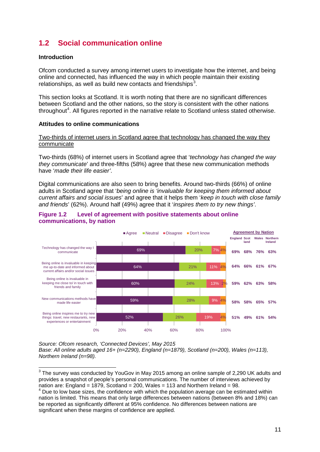# <span id="page-12-0"></span>**1.2 Social communication online**

### **Introduction**

 $\overline{a}$ 

Ofcom conducted a survey among internet users to investigate how the internet, and being online and connected, has influenced the way in which people maintain their existing relationships, as well as build new contacts and friendships<sup>[3](#page-12-1)</sup>.

This section looks at Scotland. It is worth noting that there are no significant differences between Scotland and the other nations, so the story is consistent with the other nations throughout<sup>[4](#page-12-2)</sup>. All figures reported in the narrative relate to Scotland unless stated otherwise.

#### **Attitudes to online communications**

#### Two-thirds of internet users in Scotland agree that technology has changed the way they communicate

Two-thirds (68%) of internet users in Scotland agree that '*technology has changed the way they communicate*' and three-fifths (58%) agree that these new communication methods have '*made their life easier'*.

Digital communications are also seen to bring benefits. Around two-thirds (66%) of online adults in Scotland agree that '*being online is 'invaluable for keeping them informed about current affairs and social issues*' and agree that it helps them '*keep in touch with close family and friends*' (62%). Around half (49%) agree that it '*inspires them to try new things'*.



### <span id="page-12-3"></span>**Figure 1.2 Level of agreement with positive statements about online communications, by nation**

*Source: Ofcom research, 'Connected Devices', May 2015 Base: All online adults aged 16+ (n=2290), England (n=1879), Scotland (n=200), Wales (n=113), Northern Ireland (n=98).*

<span id="page-12-1"></span> $^3$  The survey was conducted by YouGov in May 2015 among an online sample of 2,290 UK adults and provides a snapshot of people's personal communications. The number of interviews achieved by nation are: England = 1879, Scotland = 200, Wales = 113 and Northern Ireland =  $98$ .

<span id="page-12-2"></span>Due to low base sizes, the confidence with which the population average can be estimated within nation is limited. This means that only large differences between nations (between 8% and 18%) can be reported as significantly different at 95% confidence. No differences between nations are significant when these margins of confidence are applied.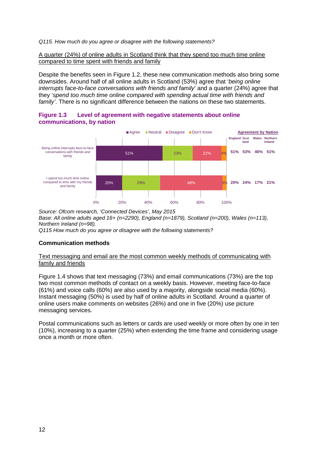*Q115. How much do you agree or disagree with the following statements?*

A quarter (24%) of online adults in Scotland think that they spend too much time online compared to time spent with friends and family

Despite the benefits seen in [Figure 1.2,](#page-12-3) these new communication methods also bring some downsides. Around half of all online adults in Scotland (53%) agree that '*being online interrupts face-to-face conversations with friends and family*' and a quarter (24%) agree that they '*spend too much time online compared with spending actual time with friends and family'*. There is no significant difference between the nations on these two statements.

**Figure 1.3 Level of agreement with negative statements about online communications, by nation**



*Source: Ofcom research, 'Connected Devices', May 2015 Base: All online adults aged 16+ (n=2290), England (n=1879), Scotland (n=200), Wales (n=113), Northern Ireland (n=98).*

*Q115 How much do you agree or disagree with the following statements?*

# **Communication methods**

#### Text messaging and email are the most common weekly methods of communicating with family and friends

[Figure 1.4](#page-14-0) shows that text messaging (73%) and email communications (73%) are the top two most common methods of contact on a weekly basis. However, meeting face-to-face (61%) and voice calls (60%) are also used by a majority, alongside social media (60%). Instant messaging (50%) is used by half of online adults in Scotland. Around a quarter of online users make comments on websites (26%) and one in five (20%) use picture messaging services.

Postal communications such as letters or cards are used weekly or more often by one in ten (10%), increasing to a quarter (25%) when extending the time frame and considering usage once a month or more often.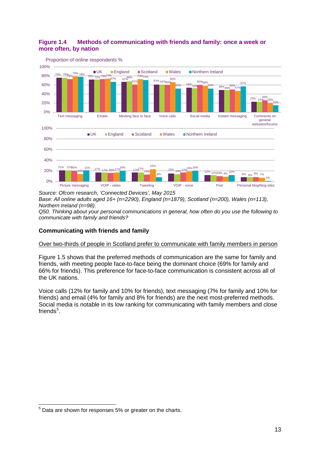# <span id="page-14-0"></span>**Figure 1.4 Methods of communicating with friends and family: once a week or more often, by nation**



*Source: Ofcom research, 'Connected Devices', May 2015 Base: All online adults aged 16+ (n=2290), England (n=1879), Scotland (n=200), Wales (n=113), Northern Ireland (n=98).*

*Q50. Thinking about your personal communications in general, how often do you use the following to communicate with family and friends?*

# **Communicating with friends and family**

# Over two-thirds of people in Scotland prefer to communicate with family members in person

[Figure 1.5](#page-15-0) shows that the preferred methods of communication are the same for family and friends, with meeting people face-to-face being the dominant choice (69% for family and 66% for friends). This preference for face-to-face communication is consistent across all of the UK nations.

Voice calls (12% for family and 10% for friends), text messaging (7% for family and 10% for friends) and email (4% for family and 8% for friends) are the next most-preferred methods. Social media is notable in its low ranking for communicating with family members and close friends<sup>[5](#page-14-1)</sup>.

<span id="page-14-1"></span> $<sup>5</sup>$  Data are shown for responses 5% or greater on the charts.</sup>  $\overline{a}$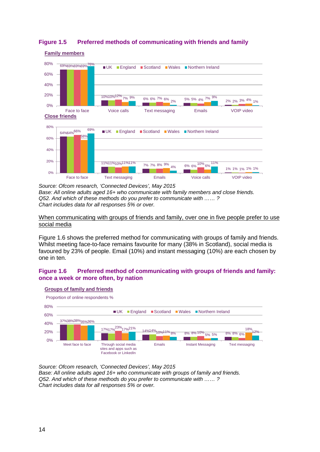

# <span id="page-15-0"></span>**Figure 1.5 Preferred methods of communicating with friends and family**

*Source: Ofcom research, 'Connected Devices', May 2015 Base: All online adults aged 16+ who communicate with family members and close friends. Q52. And which of these methods do you prefer to communicate with …… ? Chart includes data for all responses 5% or over.*

#### When communicating with groups of friends and family, over one in five people prefer to use social media

[Figure 1.6](#page-15-1) shows the preferred method for communicating with groups of family and friends. Whilst meeting face-to-face remains favourite for many (38% in Scotland), social media is favoured by 23% of people. Email (10%) and instant messaging (10%) are each chosen by one in ten.

# <span id="page-15-1"></span>**Figure 1.6 Preferred method of communicating with groups of friends and family: once a week or more often, by nation**



*Source: Ofcom research, 'Connected Devices', May 2015 Base: All online adults aged 16+ who communicate with groups of family and friends. Q52. And which of these methods do you prefer to communicate with …… ? Chart includes data for all responses 5% or over.*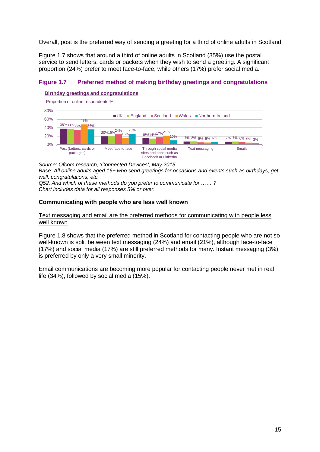### Overall, post is the preferred way of sending a greeting for a third of online adults in Scotland

[Figure 1.7](#page-16-0) shows that around a third of online adults in Scotland (35%) use the postal service to send letters, cards or packets when they wish to send a greeting. A significant proportion (24%) prefer to meet face-to-face, while others (17%) prefer social media.

# <span id="page-16-0"></span>**Figure 1.7 Preferred method of making birthday greetings and congratulations**

#### **Birthday greetings and congratulations**



*Source: Ofcom research, 'Connected Devices', May 2015 Base: All online adults aged 16+ who send greetings for occasions and events such as birthdays, get well, congratulations, etc.*

*Q52. And which of these methods do you prefer to communicate for …… ?*

*Chart includes data for all responses 5% or over.*

# **Communicating with people who are less well known**

### Text messaging and email are the preferred methods for communicating with people less well known

[Figure 1.8](#page-17-0) shows that the preferred method in Scotland for contacting people who are not so well-known is split between text messaging (24%) and email (21%), although face-to-face (17%) and social media (17%) are still preferred methods for many. Instant messaging (3%) is preferred by only a very small minority.

Email communications are becoming more popular for contacting people never met in real life (34%), followed by social media (15%).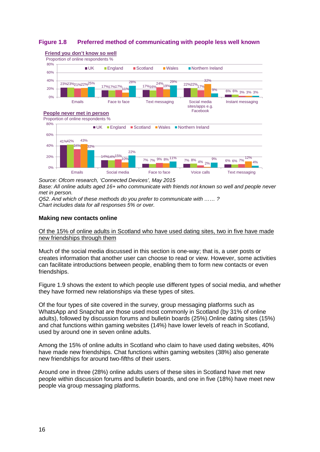# <span id="page-17-0"></span>**Figure 1.8 Preferred method of communicating with people less well known**



*Source: Ofcom research, 'Connected Devices', May 2015 Base: All online adults aged 16+ who communicate with friends not known so well and people never met in person.*

*Q52. And which of these methods do you prefer to communicate with …… ? Chart includes data for all responses 5% or over.*

#### **Making new contacts online**

Of the 15% of online adults in Scotland who have used dating sites, two in five have made new friendships through them

Much of the social media discussed in this section is one-way; that is, a user posts or creates information that another user can choose to read or view. However, some activities can facilitate introductions between people, enabling them to form new contacts or even friendships.

[Figure 1.9](#page-18-1) shows the extent to which people use different types of social media, and whether they have formed new relationships via these types of sites.

Of the four types of site covered in the survey, group messaging platforms such as WhatsApp and Snapchat are those used most commonly in Scotland (by 31% of online adults), followed by discussion forums and bulletin boards (25%).Online dating sites (15%) and chat functions within gaming websites (14%) have lower levels of reach in Scotland, used by around one in seven online adults.

Among the 15% of online adults in Scotland who claim to have used dating websites, 40% have made new friendships. Chat functions within gaming websites (38%) also generate new friendships for around two-fifths of their users.

Around one in three (28%) online adults users of these sites in Scotland have met new people within discussion forums and bulletin boards, and one in five (18%) have meet new people via group messaging platforms.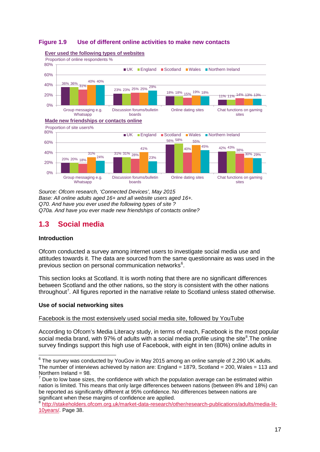<span id="page-18-1"></span>



*Source: Ofcom research, 'Connected Devices', May 2015 Base: All online adults aged 16+ and all website users aged 16+. Q70. And have you ever used the following types of site ? Q70a. And have you ever made new friendships of contacts online?*

# <span id="page-18-0"></span>**1.3 Social media**

# **Introduction**

Ofcom conducted a survey among internet users to investigate social media use and attitudes towards it. The data are sourced from the same questionnaire as was used in the previous section on personal communication networks<sup>[6](#page-18-2)</sup>.

This section looks at Scotland. It is worth noting that there are no significant differences between Scotland and the other nations, so the story is consistent with the other nations throughout<sup>[7](#page-18-3)</sup>. All figures reported in the narrative relate to Scotland unless stated otherwise.

# **Use of social networking sites**

Facebook is the most extensively used social media site, followed by YouTube

According to Ofcom's Media Literacy study, in terms of reach, Facebook is the most popular social media brand, with 97% of adults with a social media profile using the site ${}^{8}$  ${}^{8}$  ${}^{8}$ . The online survey findings support this high use of Facebook, with eight in ten (80%) online adults in

<span id="page-18-2"></span> $^6$  The survey was conducted by YouGov in May 2015 among an online sample of 2,290 UK adults. The number of interviews achieved by nation are: England = 1879, Scotland = 200, Wales = 113 and Northern Ireland = 98.  $\overline{a}$ 

<span id="page-18-3"></span> $<sup>7</sup>$  Due to low base sizes, the confidence with which the population average can be estimated within</sup> nation is limited. This means that only large differences between nations (between 8% and 18%) can be reported as significantly different at 95% confidence. No differences between nations are significant when these margins of confidence are applied.

<span id="page-18-4"></span><sup>8</sup> [http://stakeholders.ofcom.org.uk/market-data-research/other/research-publications/adults/media-lit-](http://stakeholders.ofcom.org.uk/market-data-research/other/research-publications/adults/media-lit-10years/)[10years/.](http://stakeholders.ofcom.org.uk/market-data-research/other/research-publications/adults/media-lit-10years/) Page 38.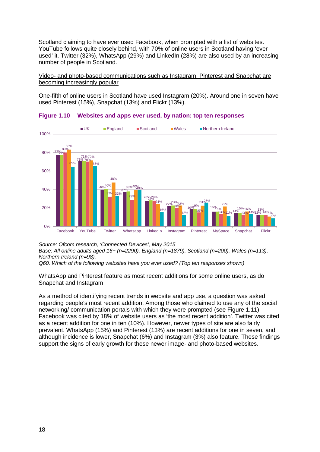Scotland claiming to have ever used Facebook, when prompted with a list of websites. YouTube follows quite closely behind, with 70% of online users in Scotland having 'ever used' it. Twitter (32%), WhatsApp (29%) and LinkedIn (28%) are also used by an increasing number of people in Scotland.

Video- and photo-based communications such as Instagram, Pinterest and Snapchat are becoming increasingly popular

One-fifth of online users in Scotland have used Instagram (20%). Around one in seven have used Pinterest (15%), Snapchat (13%) and Flickr (13%).



**Figure 1.10 Websites and apps ever used, by nation: top ten responses**

*Source: Ofcom research, 'Connected Devices', May 2015 Base: All online adults aged 16+ (n=2290), England (n=1879), Scotland (n=200), Wales (n=113), Northern Ireland (n=98).*

*Q60. Which of the following websites have you ever used? (Top ten responses shown)*

#### WhatsApp and Pinterest feature as most recent additions for some online users, as do Snapchat and Instagram

As a method of identifying recent trends in website and app use, a question was asked regarding people's most recent addition. Among those who claimed to use any of the social networking/ communication portals with which they were prompted (see [Figure 1.11\)](#page-20-0), Facebook was cited by 18% of website users as 'the most recent addition'. Twitter was cited as a recent addition for one in ten (10%). However, newer types of site are also fairly prevalent. WhatsApp (15%) and Pinterest (13%) are recent additions for one in seven, and although incidence is lower, Snapchat (6%) and Instagram (3%) also feature. These findings support the signs of early growth for these newer image- and photo-based websites.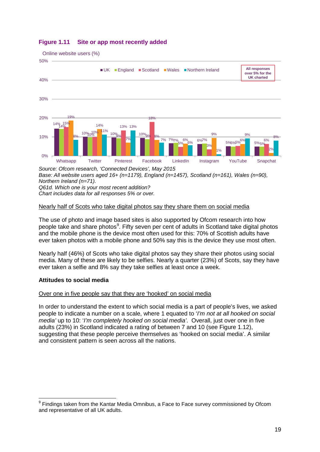

# <span id="page-20-0"></span>**Figure 1.11 Site or app most recently added**

*Source: Ofcom research, 'Connected Devices', May 2015 Base: All website users aged 16+ (n=1179), England (n=1457), Scotland (n=161), Wales (n=90), Northern Ireland (n=71). Q61d. Which one is your most recent addition? Chart includes data for all responses 5% or over.*

# Nearly half of Scots who take digital photos say they share them on social media

The use of photo and image based sites is also supported by Ofcom research into how people take and share photos<sup>[9](#page-20-1)</sup>. Fifty seven per cent of adults in Scotland take digital photos and the mobile phone is the device most often used for this: 70% of Scottish adults have ever taken photos with a mobile phone and 50% say this is the device they use most often.

Nearly half (46%) of Scots who take digital photos say they share their photos using social media. Many of these are likely to be selfies. Nearly a quarter (23%) of Scots, say they have ever taken a selfie and 8% say they take selfies at least once a week.

# **Attitudes to social media**

 $\overline{a}$ 

# Over one in five people say that they are 'hooked' on social media

In order to understand the extent to which social media is a part of people's lives, we asked people to indicate a number on a scale, where 1 equated to '*I'm not at all hooked on social media'* up to 10: '*I'm completely hooked on social media'*. Overall, just over one in five adults (23%) in Scotland indicated a rating of between 7 and 10 (see [Figure 1.12\)](#page-21-0), suggesting that these people perceive themselves as 'hooked on social media'. A similar and consistent pattern is seen across all the nations.

<span id="page-20-1"></span><sup>&</sup>lt;sup>9</sup> Findings taken from the Kantar Media Omnibus, a Face to Face survey commissioned by Ofcom and representative of all UK adults.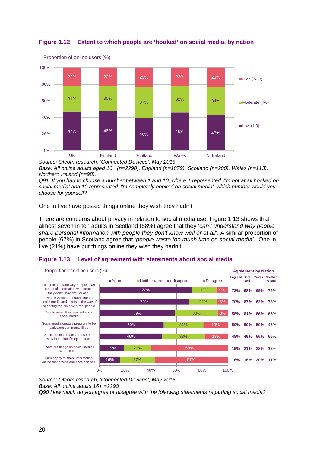

# <span id="page-21-0"></span>**Figure 1.12 Extent to which people are 'hooked' on social media, by nation**

*Source: Ofcom research, 'Connected Devices', May 2015*

*Base: All online adults aged 16+ (n=2290), England (n=1879), Scotland (n=200), Wales (n=113), Northern Ireland (n=98).*

*Q91. If you had to choose a number between 1 and 10, where 1 represented 'I'm not at all hooked on social media' and 10 represented 'I'm completely hooked on social media', which number would you choose for yourself?*

#### One in five have posted things online they wish they hadn't

There are concerns about privacy in relation to social media use; [Figure 1.13](#page-21-1) shows that almost seven in ten adults in Scotland (68%) agree that they '*can't understand why people share personal information with people they don't know well or at all*'. A similar proportion of people (67%) in Scotland agree that '*people waste too much time on social media'*. One in five (21%) have put things online they wish they hadn't.

# <span id="page-21-1"></span>**Figure 1.13 Level of agreement with statements about social media**



*Source: Ofcom research, 'Connected Devices', May 2015*

*Base: All online adults 16+ =2290*

*Q90 How much do you agree or disagree with the following statements regarding social media?*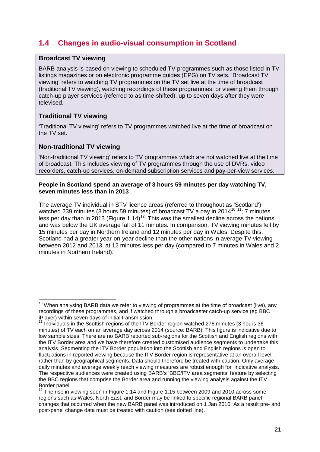# <span id="page-22-0"></span>**1.4 Changes in audio-visual consumption in Scotland**

# **Broadcast TV viewing**

BARB analysis is based on viewing to scheduled TV programmes such as those listed in TV listings magazines or on electronic programme guides (EPG) on TV sets. 'Broadcast TV viewing' refers to watching TV programmes on the TV set live at the time of broadcast (traditional TV viewing), watching recordings of these programmes, or viewing them through catch-up player services (referred to as time-shifted), up to seven days after they were televised.

# **Traditional TV viewing**

 $\overline{a}$ 

'Traditional TV viewing' refers to TV programmes watched live at the time of broadcast on the TV set.

# **Non-traditional TV viewing**

'Non-traditional TV viewing' refers to TV programmes which are not watched live at the time of broadcast. This includes viewing of TV programmes through the use of DVRs, video recorders, catch-up services, on-demand subscription services and pay-per-view services.

### **People in Scotland spend an average of 3 hours 59 minutes per day watching TV, seven minutes less than in 2013**

The average TV individual in STV licence areas (referred to throughout as 'Scotland') watched 239 minutes (3 hours 59 minutes) of broadcast TV a day in 2014<sup>[10](#page-22-1) [11](#page-22-2)</sup>; 7 minutes less per day than in 2013 [\(Figure 1.14\)](#page-23-0)<sup>[12](#page-22-3)</sup>. This was the smallest decline across the nations and was below the UK average fall of 11 minutes. In comparison, TV viewing minutes fell by 15 minutes per day in Northern Ireland and 12 minutes per day in Wales. Despite this, Scotland had a greater year-on-year decline than the other nations in average TV viewing between 2012 and 2013, at 12 minutes less per day (compared to 7 minutes in Wales and 2 minutes in Northern Ireland).

<span id="page-22-1"></span> $10$  When analysing BARB data we refer to viewing of programmes at the time of broadcast (live), any recordings of these programmes, and if watched through a broadcaster catch-up service (eg BBC iPlayer) within seven days of initial transmission.<br><sup>11</sup> Individuals in the Section regions of the ITV D

<span id="page-22-2"></span><sup>11</sup> Individuals in the Scottish regions of the ITV Border region watched 276 minutes (3 hours 36 minutes) of TV each on an average day across 2014 (source: BARB). This figure is indicative due to low sample sizes. There are no BARB reported sub-regions for the Scottish and English regions with the ITV Border area and we have therefore created customised audience segments to undertake this analysis. Segmenting the ITV Border population into the Scottish and English regions is open to fluctuations in reported viewing because the ITV Border region is representative at an overall level rather than by geographical segments. Data should therefore be treated with caution. Only average daily minutes and average weekly reach viewing measures are robust enough for indicative analysis. The respective audiences were created using BARB's 'BBC/ITV area segments' feature by selecting the BBC regions that comprise the Border area and running the viewing analysis against the ITV Border panel.

<span id="page-22-3"></span><sup>&</sup>lt;sup>12</sup> The rise in viewing seen in [Figure 1.14](#page-23-0) and [Figure 1.15](#page-23-1) between 2009 and 2010 across some regions such as Wales, North East, and Border may be linked to specific regional BARB panel changes that occurred when the new BARB panel was introduced on 1 Jan 2010. As a result pre- and post-panel change data must be treated with caution (see dotted line).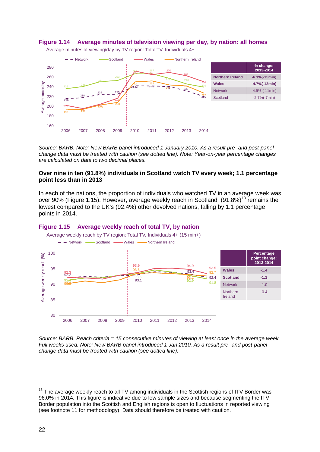<span id="page-23-0"></span>





*Source: BARB. Note: New BARB panel introduced 1 January 2010. As a result pre- and post-panel change data must be treated with caution (see dotted line). Note: Year-on-year percentage changes are calculated on data to two decimal places.*

#### **Over nine in ten (91.8%) individuals in Scotland watch TV every week; 1.1 percentage point less than in 2013**

In each of the nations, the proportion of individuals who watched TV in an average week was over 90% [\(Figure 1.15\)](#page-23-1). However, average weekly reach in Scotland (91.8%)<sup>[13](#page-23-2)</sup> remains the lowest compared to the UK's (92.4%) other devolved nations, falling by 1.1 percentage points in 2014.

<span id="page-23-1"></span>



*Source: BARB. Reach criteria = 15 consecutive minutes of viewing at least once in the average week. Full weeks used. Note: New BARB panel introduced 1 Jan 2010. As a result pre- and post-panel change data must be treated with caution (see dotted line).*

<span id="page-23-2"></span> $13$  The average weekly reach to all TV among individuals in the Scottish regions of ITV Border was 96.0% in 2014. This figure is indicative due to low sample sizes and because segmenting the ITV Border population into the Scottish and English regions is open to fluctuations in reported viewing (see footnote 11 for methodology). Data should therefore be treated with caution.  $\overline{1}$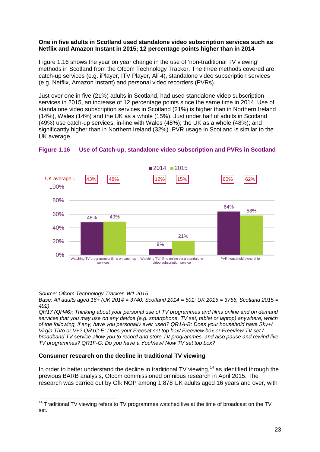### **One in five adults in Scotland used standalone video subscription services such as Netflix and Amazon Instant in 2015; 12 percentage points higher than in 2014**

[Figure 1.16](#page-24-0) shows the year on year change in the use of 'non-traditional TV viewing' methods in Scotland from the Ofcom Technology Tracker. The three methods covered are: catch-up services (e.g. iPlayer, ITV Player, All 4), standalone video subscription services (e.g. Netflix, Amazon Instant) and personal video recorders (PVRs).

Just over one in five (21%) adults in Scotland, had used standalone video subscription services in 2015, an increase of 12 percentage points since the same time in 2014. Use of standalone video subscription services in Scotland (21%) is higher than in Northern Ireland (14%), Wales (14%) and the UK as a whole (15%). Just under half of adults in Scotland (49%) use catch-up services; in-line with Wales (48%); the UK as a whole (48%); and significantly higher than in Northern Ireland (32%). PVR usage in Scotland is similar to the UK average.



# <span id="page-24-0"></span>**Figure 1.16 Use of Catch-up, standalone video subscription and PVRs in Scotland**

*Source: Ofcom Technology Tracker, W1 2015*

*Base: All adults aged 16+ (UK 2014 = 3740, Scotland 2014 = 501; UK 2015 = 3756, Scotland 2015 = 492)*

*QH17 (QH46): Thinking about your personal use of TV programmes and films online and on demand services that you may use on any device (e.g. smartphone, TV set, tablet or laptop) anywhere, which of the following, if any, have you personally ever used? QR1A-B: Does your household have Sky+/ Virgin TiVo or V+? QR1C-E: Does your Freesat set top box/ Freeview box or Freeview TV set / broadband TV service allow you to record and store TV programmes, and also pause and rewind live TV programmes? QR1F-G: Do you have a YouView/ Now TV set top box?*

# **Consumer research on the decline in traditional TV viewing**

In order to better understand the decline in traditional TV viewing,<sup>[14](#page-24-1)</sup> as identified through the previous BARB analysis, Ofcom commissioned omnibus research in April 2015. The research was carried out by Gfk NOP among 1,878 UK adults aged 16 years and over, with

<span id="page-24-1"></span> $14$  Traditional TV viewing refers to TV programmes watched live at the time of broadcast on the TV set.  $\overline{a}$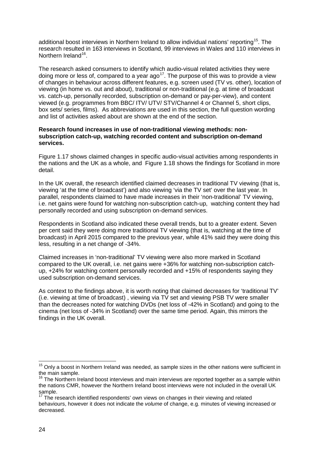additional boost interviews in Northern Ireland to allow individual nations' reporting<sup>[15](#page-25-0)</sup>. The research resulted in 163 interviews in Scotland, 99 interviews in Wales and 110 interviews in Northern Ireland<sup>16</sup>.

The research asked consumers to identify which audio-visual related activities they were doing more or less of, compared to a year ago[17](#page-25-2). The purpose of this was to provide a view of changes in behaviour across different features, e.g. screen used (TV vs. other), location of viewing (in home vs. out and about), traditional or non-traditional (e.g. at time of broadcast vs. catch-up, personally recorded, subscription on-demand or pay-per-view), and content viewed (e.g. programmes from BBC/ ITV/ UTV/ STV/Channel 4 or Channel 5, short clips, box sets/ series, films). As abbreviations are used in this section, the full question wording and list of activities asked about are shown at the end of the section.

### **Research found increases in use of non-traditional viewing methods: nonsubscription catch-up, watching recorded content and subscription on-demand services.**

[Figure 1.17](#page-26-0) shows claimed changes in specific audio-visual activities among respondents in the nations and the UK as a whole, and [Figure 1.18](#page-26-1) shows the findings for Scotland in more detail.

In the UK overall, the research identified claimed decreases in traditional TV viewing (that is, viewing 'at the time of broadcast') and also viewing 'via the TV set' over the last year. In parallel, respondents claimed to have made increases in their 'non-traditional' TV viewing, i.e. net gains were found for watching non-subscription catch-up, watching content they had personally recorded and using subscription on-demand services.

Respondents in Scotland also indicated these overall trends, but to a greater extent. Seven per cent said they were doing more traditional TV viewing (that is, watching at the time of broadcast) in April 2015 compared to the previous year, while 41% said they were doing this less, resulting in a net change of -34%.

Claimed increases in 'non-traditional' TV viewing were also more marked in Scotland compared to the UK overall, i.e. net gains were +36% for watching non-subscription catchup, +24% for watching content personally recorded and +15% of respondents saying they used subscription on-demand services.

As context to the findings above, it is worth noting that claimed decreases for 'traditional TV' (i.e. viewing at time of broadcast) , viewing via TV set and viewing PSB TV were smaller than the decreases noted for watching DVDs (net loss of -42% in Scotland) and going to the cinema (net loss of -34% in Scotland) over the same time period. Again, this mirrors the findings in the UK overall.

<span id="page-25-0"></span><sup>&</sup>lt;sup>15</sup> Only a boost in Northern Ireland was needed, as sample sizes in the other nations were sufficient in the main sample.  $\overline{a}$ 

<span id="page-25-1"></span> $16$  The Northern Ireland boost interviews and main interviews are reported together as a sample within the nations CMR, however the Northern Ireland boost interviews were not included in the overall UK sample.

<span id="page-25-2"></span><sup>17</sup> The research identified respondents' own views on changes in their viewing and related behaviours, however it does not indicate the *volume* of change, e.g. minutes of viewing increased or decreased.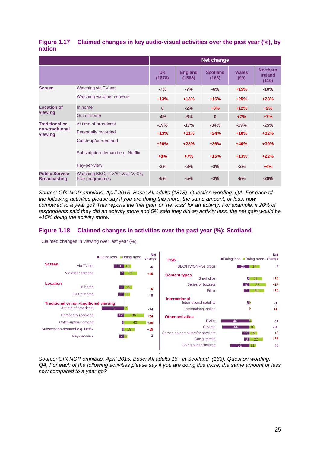<span id="page-26-0"></span>

|        | Figure 1.17 Claimed changes in key audio-visual activities over the past year (%), by |
|--------|---------------------------------------------------------------------------------------|
| nation |                                                                                       |

|                                              |                                                   | <b>Net change</b>   |                          |                          |                      |                                            |
|----------------------------------------------|---------------------------------------------------|---------------------|--------------------------|--------------------------|----------------------|--------------------------------------------|
|                                              |                                                   | <b>UK</b><br>(1878) | <b>England</b><br>(1568) | <b>Scotland</b><br>(163) | <b>Wales</b><br>(99) | <b>Northern</b><br><b>Ireland</b><br>(110) |
| <b>Screen</b>                                | Watching via TV set                               | $-7%$               | $-7%$                    | $-6%$                    | $+15%$               | $-10%$                                     |
|                                              | Watching via other screens                        | $+13%$              | $+13%$                   | $+16%$                   | $+25%$               | $+23%$                                     |
| <b>Location of</b>                           | In home                                           | $\bf{0}$            | $-2%$                    | $+6%$                    | $+12%$               | $+2%$                                      |
| viewing                                      | Out of home                                       | $-4%$               | $-6%$                    | $\mathbf{0}$             | $+7%$                | $+7%$                                      |
| <b>Traditional or</b>                        | At time of broadcast                              | $-19%$              | $-17%$                   | $-34%$                   | $-19%$               | $-25%$                                     |
| non-traditional<br>viewing                   | Personally recorded                               | $+13%$              | $+11%$                   | $+24%$                   | $+18%$               | $+32%$                                     |
|                                              | Catch-up/on-demand                                | $+26%$              | $+23%$                   | $+36%$                   | $+40%$               | $+39%$                                     |
|                                              | Subscription-demand e.g. Netflix                  | $+8%$               | $+7%$                    | $+15%$                   | $+13%$               | $+22%$                                     |
|                                              | Pay-per-view                                      | $-3%$               | $-3%$                    | $-3%$                    | $-2%$                | $+4%$                                      |
| <b>Public Service</b><br><b>Broadcasting</b> | Watching BBC, ITV/STV/UTV, C4,<br>Five programmes | $-6%$               | $-5%$                    | $-3%$                    | $-9%$                | $-28%$                                     |

*Source: GfK NOP omnibus, April 2015. Base: All adults (1878). Question wording: QA, For each of the following activities please say if you are doing this more, the same amount, or less, now compared to a year go? This reports the 'net gain' or 'net loss' for an activity. For example, if 20% of respondents said they did an activity more and 5% said they did an activity less, the net gain would be +15% doing the activity more.*

# <span id="page-26-1"></span>**Figure 1.18 Claimed changes in activities over the past year (%): Scotland**





*Source: GfK NOP omnibus, April 2015. Base: All adults 16+ in Scotland (163). Question wording: QA, For each of the following activities please say if you are doing this more, the same amount or less now compared to a year go?*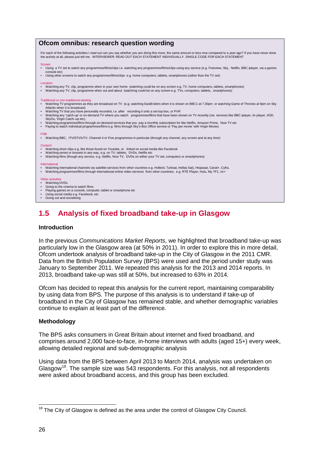| Ofcom omnibus: research question wording                                                                                                                                                                                                                                                                                                                                                                                                                                                                                                                                                                                                                                                                                                                                                                                                      |
|-----------------------------------------------------------------------------------------------------------------------------------------------------------------------------------------------------------------------------------------------------------------------------------------------------------------------------------------------------------------------------------------------------------------------------------------------------------------------------------------------------------------------------------------------------------------------------------------------------------------------------------------------------------------------------------------------------------------------------------------------------------------------------------------------------------------------------------------------|
| For each of the following activities I read out can you say whether you are doing this more, the same amount or less now compared to a year ago? If you have never done<br>the activity at all, please just tell me. INTERVIEWER: READ OUT EACH STATEMENT INDIVIDUALLY. SINGLE CODE FOR EACH STATEMENT                                                                                                                                                                                                                                                                                                                                                                                                                                                                                                                                        |
| <b>Screen</b><br>• Using a TV set to watch any programmes/films/clips i.e. watching any programmes/films/clips using any service (e.g. Freeview, Sky, Netflix, BBC iplayer, via a games<br>console etc)<br>Using other screens to watch any programmes/films/clips e.g. home computers, tablets, smartphones (rather than the TV set)<br>$\bullet$                                                                                                                                                                                                                                                                                                                                                                                                                                                                                            |
| Location<br>Watching any TV, clip, programme when in your own home (watching could be on any screen e.g. TV, home computers, tablets, smartphones)<br>Watching any TV, clip, programme when out and about (watching could be on any screen e.g. TVs, computers, tablets, smartphones)                                                                                                                                                                                                                                                                                                                                                                                                                                                                                                                                                         |
| Traditional or non-traditional viewing<br>Watching TV programmes as they are broadcast on TV (e.g. watching EastEnders when it is shown on BBC1 at 7.30pm or watching Game of Thrones at 9pm on Sky<br>Atlantic when it is broadcast)<br>Watching TV that you have personally recorded, i.e. after recording it onto a set-top box, or PVR<br>Watching any 'catch-up' or on-demand TV where you watch programmes/films that have been shown on TV recently (via services like BBC iplayer, ity player, 40D,<br>$\bullet$<br>SkyGo, Virgin Catch-up etc).<br>Watching programmes/films through on-demand services that you pay a monthly subscription for like Netflix, Amazon Prime, Now TV etc<br>Paying to watch individual programmes/films e.g. films through Sky's Box Office service or 'Pay per movie' with Virgin Movies<br>$\bullet$ |
| <b>PSB</b><br>• Watching BBC, ITV/STV/UTV, Channel 4 or Five programmes in particular (through any channel, any screen and at any time)                                                                                                                                                                                                                                                                                                                                                                                                                                                                                                                                                                                                                                                                                                       |
| Content<br>Watching short clips e.g. like those found on Youtube, or linked on social media like Facebook<br>Watching series or boxsets in any way, e.g. on TV, tablets, DVDs, Netflix etc<br>• Watching films (though any service, e.g. Netflix, Now TV, DVDs on either your TV set, computers or smartphones)<br>International<br>Watching international channels via satellite services from other countries e.g. Hotbird, Turksat, Hellas Sat), Hispasat, Canal+, Cyfra.<br>Watching programmes/films through international online video services from other countries, e.g. RTÉ Player, Hulu, My TF1, nc+<br>٠                                                                                                                                                                                                                           |
| Other activities<br>Watching DVDs<br>Going to the cinema to watch films<br>$\bullet$<br>Playing games on a console, computer, tablet or smartphone etc<br>$\bullet$<br>Using social media e.g. Facebook, etc<br>Going out and socialising<br>$\bullet$                                                                                                                                                                                                                                                                                                                                                                                                                                                                                                                                                                                        |

# <span id="page-27-0"></span>**1.5 Analysis of fixed broadband take-up in Glasgow**

### **Introduction**

In the previous *Communications Market Reports*, we highlighted that broadband take-up was particularly low in the Glasgow area (at 50% in 2011). In order to explore this in more detail, Ofcom undertook analysis of broadband take-up in the City of Glasgow in the 2011 CMR. Data from the British Population Survey (BPS) were used and the period under study was January to September 2011. We repeated this analysis for the 2013 and 2014 reports. In 2013, broadband take-up was still at 50%, but increased to 63% in 2014.

Ofcom has decided to repeat this analysis for the current report, maintaining comparability by using data from BPS. The purpose of this analysis is to understand if take-up of broadband in the City of Glasgow has remained stable, and whether demographic variables continue to explain at least part of the difference.

#### **Methodology**

The BPS asks consumers in Great Britain about internet and fixed broadband, and comprises around 2,000 face-to-face, in-home interviews with adults (aged 15+) every week, allowing detailed regional and sub-demographic analysis

Using data from the BPS between April 2013 to March 2014, analysis was undertaken on Glasgow<sup>[18](#page-27-1)</sup>. The sample size was 543 respondents. For this analysis, not all respondents were asked about broadband access, and this group has been excluded.

<span id="page-27-1"></span> $18$  The City of Glasgow is defined as the area under the control of Glasgow City Council.  $\overline{a}$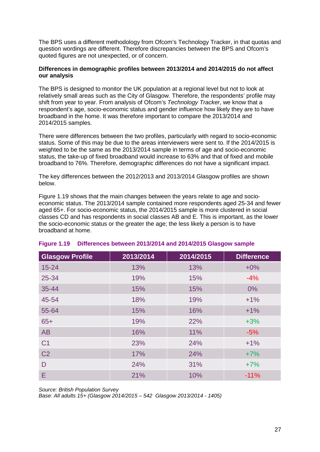The BPS uses a different methodology from Ofcom's Technology Tracker, in that quotas and question wordings are different. Therefore discrepancies between the BPS and Ofcom's quoted figures are not unexpected, or of concern.

### **Differences in demographic profiles between 2013/2014 and 2014/2015 do not affect our analysis**

The BPS is designed to monitor the UK population at a regional level but not to look at relatively small areas such as the City of Glasgow. Therefore, the respondents' profile may shift from year to year. From analysis of Ofcom's *Technology Tracker*, we know that a respondent's age, socio-economic status and gender influence how likely they are to have broadband in the home. It was therefore important to compare the 2013/2014 and 2014/2015 samples.

There were differences between the two profiles, particularly with regard to socio-economic status. Some of this may be due to the areas interviewers were sent to. If the 2014/2015 is weighted to be the same as the 2013/2014 sample in terms of age and socio-economic status, the take-up of fixed broadband would increase to 63% and that of fixed and mobile broadband to 76%. Therefore, demographic differences do not have a significant impact.

The key differences between the 2012/2013 and 2013/2014 Glasgow profiles are shown below.

[Figure 1.19](#page-28-0) shows that the main changes between the years relate to age and socioeconomic status. The 2013/2014 sample contained more respondents aged 25-34 and fewer aged 65+. For socio-economic status, the 2014/2015 sample is more clustered in social classes CD and has respondents in social classes AB and E. This is important, as the lower the socio-economic status or the greater the age; the less likely a person is to have broadband at home.

| <b>Glasgow Profile</b> | 2013/2014 | 2014/2015 | <b>Difference</b> |
|------------------------|-----------|-----------|-------------------|
| $15 - 24$              | 13%       | 13%       | $+0\%$            |
| 25-34                  | 19%       | 15%       | $-4%$             |
| $35 - 44$              | 15%       | 15%       | $0\%$             |
| 45-54                  | 18%       | 19%       | $+1%$             |
| 55-64                  | 15%       | 16%       | $+1%$             |
| $65+$                  | 19%       | 22%       | $+3%$             |
| AB                     | 16%       | 11%       | $-5%$             |
| C <sub>1</sub>         | 23%       | 24%       | $+1%$             |
| C <sub>2</sub>         | 17%       | 24%       | $+7%$             |
| D                      | 24%       | 31%       | $+7%$             |
| E                      | 21%       | 10%       | $-11%$            |

# <span id="page-28-0"></span>**Figure 1.19 Differences between 2013/2014 and 2014/2015 Glasgow sample**

*Source: British Population Survey*

*Base: All adults 15+ (Glasgow 2014/2015 – 542 Glasgow 2013/2014 - 1405)*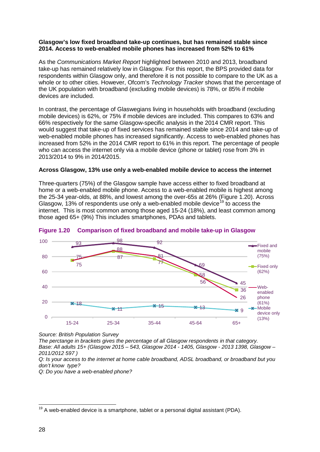### **Glasgow's low fixed broadband take-up continues, but has remained stable since 2014. Access to web-enabled mobile phones has increased from 52% to 61%**

As the *Communications Market Report* highlighted between 2010 and 2013, broadband take-up has remained relatively low in Glasgow. For this report, the BPS provided data for respondents within Glasgow only, and therefore it is not possible to compare to the UK as a whole or to other cities. However, Ofcom's *Technology Tracker* shows that the percentage of the UK population with broadband (excluding mobile devices) is 78%, or 85% if mobile devices are included.

In contrast, the percentage of Glaswegians living in households with broadband (excluding mobile devices) is 62%, or 75% if mobile devices are included. This compares to 63% and 66% respectively for the same Glasgow-specific analysis in the 2014 CMR report. This would suggest that take-up of fixed services has remained stable since 2014 and take-up of web-enabled mobile phones has increased significantly. Access to web-enabled phones has increased from 52% in the 2014 CMR report to 61% in this report. The percentage of people who can access the internet only via a mobile device (phone or tablet) rose from 3% in 2013/2014 to 9% in 2014/2015.

#### **Across Glasgow, 13% use only a web-enabled mobile device to access the internet**

Three-quarters (75%) of the Glasgow sample have access either to fixed broadband at home or a web-enabled mobile phone. Access to a web-enabled mobile is highest among the 25-34 year-olds, at 88%, and lowest among the over-65s at 26% [\(Figure 1.20\)](#page-29-0). Across Glasgow, 13% of respondents use only a web-enabled mobile device  $19$  to access the internet. This is most common among those aged 15-24 (18%), and least common among those aged 65+ (9%) This includes smartphones, PDAs and tablets.



<span id="page-29-0"></span>

*Source: British Population Survey*

*The perctange in brackets gives the percentage of all Glasgow respondents in that category. Base: All adults 15+ (Glasgow 2015 – 543, Glasgow 2014 - 1405, Glasgow - 2013 1398, Glasgow – 2011/2012 597 )*

*Q: Is your access to the internet at home cable broadband, ADSL broadband, or broadband but you don't know type?*

*Q: Do you have a web-enabled phone?*

<span id="page-29-1"></span> $19$  A web-enabled device is a smartphone, tablet or a personal digital assistant (PDA).  $\overline{a}$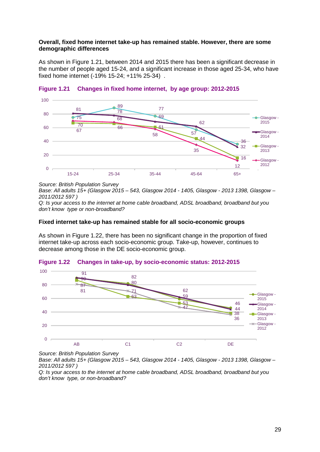#### **Overall, fixed home internet take-up has remained stable. However, there are some demographic differences**

As shown in [Figure 1.21,](#page-30-0) between 2014 and 2015 there has been a significant decrease in the number of people aged 15-24, and a significant increase in those aged 25-34, who have fixed home internet (-19% 15-24; +11% 25-34) .



# <span id="page-30-0"></span>**Figure 1.21 Changes in fixed home internet, by age group: 2012-2015**

#### *Source: British Population Survey*

*Base: All adults 15+ (Glasgow 2015 – 543, Glasgow 2014 - 1405, Glasgow - 2013 1398, Glasgow – 2011/2012 597 )*

*Q: Is your access to the internet at home cable broadband, ADSL broadband, broadband but you don't know type or non-broadband?*

#### **Fixed internet take-up has remained stable for all socio-economic groups**

As shown in [Figure 1.22,](#page-30-1) there has been no significant change in the proportion of fixed internet take-up across each socio-economic group. Take-up, however, continues to decrease among those in the DE socio-economic group.



# <span id="page-30-1"></span>**Figure 1.22 Changes in take-up, by socio-economic status: 2012-2015**

*Source: British Population Survey*

*Base: All adults 15+ (Glasgow 2015 – 543, Glasgow 2014 - 1405, Glasgow - 2013 1398, Glasgow – 2011/2012 597 )*

*Q: Is your access to the internet at home cable broadband, ADSL broadband, broadband but you don't know type, or non-broadband?*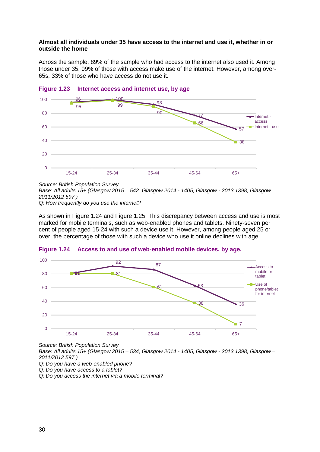### **Almost all individuals under 35 have access to the internet and use it, whether in or outside the home**

Across the sample, 89% of the sample who had access to the internet also used it. Among those under 35, 99% of those with access make use of the internet. However, among over-65s, 33% of those who have access do not use it.



# **Figure 1.23 Internet access and internet use, by age**

*Source: British Population Survey*

*Base: All adults 15+ (Glasgow 2015 – 542 Glasgow 2014 - 1405, Glasgow - 2013 1398, Glasgow – 2011/2012 597 )*

*Q: How frequently do you use the internet?*

As shown in [Figure 1.24](#page-31-0) and [Figure 1.25,](#page-32-0) This discrepancy between access and use is most marked for mobile terminals, such as web-enabled phones and tablets. Ninety-seven per cent of people aged 15-24 with such a device use it. However, among people aged 25 or over, the percentage of those with such a device who use it online declines with age.



# <span id="page-31-0"></span>**Figure 1.24 Access to and use of web-enabled mobile devices, by age.**

*Source: British Population Survey*

*Base: All adults 15+ (Glasgow 2015 – 534, Glasgow 2014 - 1405, Glasgow - 2013 1398, Glasgow – 2011/2012 597 )*

*Q: Do you have a web-enabled phone?* 

*Q. Do you have access to a tablet?*

*Q: Do you access the internet via a mobile terminal?*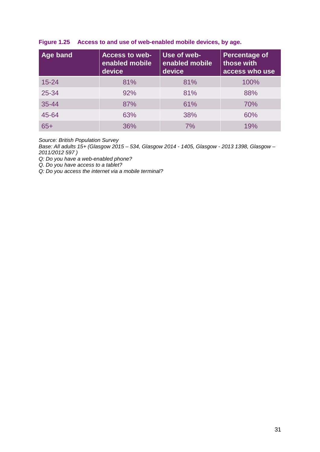| Age band<br><b>Access to web-</b><br>enabled mobile<br>device |     | Use of web-<br>enabled mobile<br>device | <b>Percentage of</b><br>those with<br>access who use |  |  |
|---------------------------------------------------------------|-----|-----------------------------------------|------------------------------------------------------|--|--|
| $15 - 24$                                                     | 81% | 81%                                     | 100%                                                 |  |  |
| 25-34                                                         | 92% | 81%                                     | 88%                                                  |  |  |
| $35 - 44$                                                     | 87% | 61%                                     | 70%                                                  |  |  |
| 45-64                                                         | 63% | 38%                                     | 60%                                                  |  |  |
| $65+$                                                         | 36% | 7%                                      | 19%                                                  |  |  |

# <span id="page-32-0"></span>**Figure 1.25 Access to and use of web-enabled mobile devices, by age.**

*Source: British Population Survey*

*Base: All adults 15+ (Glasgow 2015 – 534, Glasgow 2014 - 1405, Glasgow - 2013 1398, Glasgow – 2011/2012 597 )*

*Q: Do you have a web-enabled phone?* 

*Q. Do you have access to a tablet?*

*Q: Do you access the internet via a mobile terminal?*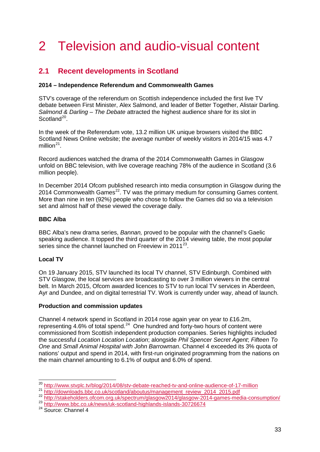# 2 Television and audio-visual content

# <span id="page-34-0"></span>**2.1 Recent developments in Scotland**

# **2014 – Independence Referendum and Commonwealth Games**

STV's coverage of the referendum on Scottish independence included the first live TV debate between First Minister, Alex Salmond, and leader of Better Together, Alistair Darling. *Salmond & Darling – The Debate* attracted the highest audience share for its slot in Scotland<sup>[20](#page-34-1)</sup>

In the week of the Referendum vote, 13.2 million UK unique browsers visited the BBC Scotland News Online website; the average number of weekly visitors in 2014/15 was 4.7 million $^{21}$  $^{21}$  $^{21}$ .

Record audiences watched the drama of the 2014 Commonwealth Games in Glasgow unfold on BBC television, with live coverage reaching 78% of the audience in Scotland (3.6 million people).

In December 2014 Ofcom published research into media consumption in Glasgow during the  $2014$  Commonwealth Games<sup>22</sup>. TV was the primary medium for consuming Games content. More than nine in ten (92%) people who chose to follow the Games did so via a television set and almost half of these viewed the coverage daily.

# **BBC Alba**

BBC Alba's new drama series, *Bannan,* proved to be popular with the channel's Gaelic speaking audience. It topped the third quarter of the 2014 viewing table, the most popular series since the channel launched on Freeview in  $2011^{23}$  $2011^{23}$  $2011^{23}$ .

# **Local TV**

On 19 January 2015, STV launched its local TV channel, STV Edinburgh. Combined with STV Glasgow, the local services are broadcasting to over 3 million viewers in the central belt. In March 2015, Ofcom awarded licences to STV to run local TV services in Aberdeen. Ayr and Dundee, and on digital terrestrial TV. Work is currently under way, ahead of launch.

# **Production and commission updates**

Channel 4 network spend in Scotland in 2014 rose again year on year to £16.2m, representing 4.6% of total spend.<sup>24</sup> One hundred and forty-two hours of content were commissioned from Scottish independent production companies. Series highlights included the successful *Location Location Location*; alongside *Phil Spencer Secret Agent*; *Fifteen To One* and *Small Animal Hospital with John Barrowman*. Channel 4 exceeded its 3% quota of nations' output and spend in 2014, with first-run originated programming from the nations on the main channel amounting to 6.1% of output and 6.0% of spend.

<span id="page-34-5"></span><span id="page-34-4"></span><sup>24</sup> Source: Channel 4

<sup>&</sup>lt;sup>20</sup> <http://www.stvplc.tv/blog/2014/08/stv-debate-reached-tv-and-online-audience-of-17-million>  $\overline{a}$ 

<span id="page-34-3"></span><span id="page-34-2"></span><span id="page-34-1"></span><sup>21&</sup>lt;br> [http://downloads.bbc.co.uk/scotland/aboutus/management\\_review\\_2014\\_2015.pdf](http://downloads.bbc.co.uk/scotland/aboutus/management_review_2014_2015.pdf)<br>
22 <http://stakeholders.ofcom.org.uk/spectrum/glasgow2014/glasgow-2014-games-media-consumption/><br>
23 http://www.bbc.co.uk/news/uk-scotland-high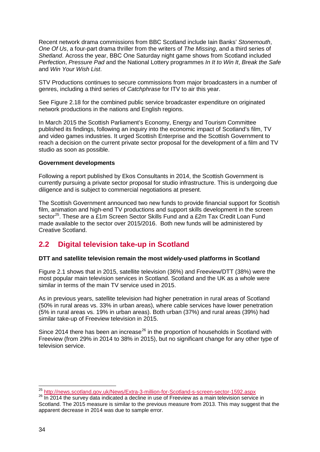Recent network drama commissions from BBC Scotland include Iain Banks' *Stonemouth*, *One Of Us*, a four-part drama thriller from the writers of *The Missing*, and a third series of *Shetland*. Across the year, BBC One Saturday night game shows from Scotland included *Perfection*, *Pressure Pad* and the National Lottery programmes *In It to Win It*, *Break the Safe* and *Win Your Wish List*.

STV Productions continues to secure commissions from major broadcasters in a number of genres, including a third series of *Catchphrase* for ITV to air this year.

See [Figure 2.18](#page-51-0) for the combined public service broadcaster expenditure on originated network productions in the nations and English regions.

In March 2015 the Scottish Parliament's Economy, Energy and Tourism Committee published its findings, following an inquiry into the economic impact of Scotland's film, TV and video games industries. It urged Scottish Enterprise and the Scottish Government to reach a decision on the current private sector proposal for the development of a film and TV studio as soon as possible.

#### **Government developments**

Following a report published by Ekos Consultants in 2014, the Scottish Government is currently pursuing a private sector proposal for studio infrastructure. This is undergoing due diligence and is subject to commercial negotiations at present.

The Scottish Government announced two new funds to provide financial support for Scottish film, animation and high-end TV productions and support skills development in the screen sector<sup>[25](#page-35-1)</sup>. These are a £1m Screen Sector Skills Fund and a £2m Tax Credit Loan Fund made available to the sector over 2015/2016. Both new funds will be administered by Creative Scotland.

# <span id="page-35-0"></span>**2.2 Digital television take-up in Scotland**

# **DTT and satellite television remain the most widely-used platforms in Scotland**

[Figure 2.1](#page-36-0) shows that in 2015, satellite television (36%) and Freeview/DTT (38%) were the most popular main television services in Scotland. Scotland and the UK as a whole were similar in terms of the main TV service used in 2015.

As in previous years, satellite television had higher penetration in rural areas of Scotland (50% in rural areas vs. 33% in urban areas), where cable services have lower penetration (5% in rural areas vs. 19% in urban areas). Both urban (37%) and rural areas (39%) had similar take-up of Freeview television in 2015.

Since 2014 there has been an increase<sup>[26](#page-35-2)</sup> in the proportion of households in Scotland with Freeview (from 29% in 2014 to 38% in 2015), but no significant change for any other type of television service.

<span id="page-35-1"></span><sup>&</sup>lt;sup>25</sup> http://news.scotland.gov.uk/News/Extra-3-million-for-Scotland-s-screen-sector-1592.aspx

<span id="page-35-2"></span><sup>&</sup>lt;sup>26</sup> In 2014 the survey data indicated a decline in use of Freeview as a main television service in Scotland. The 2015 measure is similar to the previous measure from 2013. This may suggest that the apparent decrease in 2014 was due to sample error.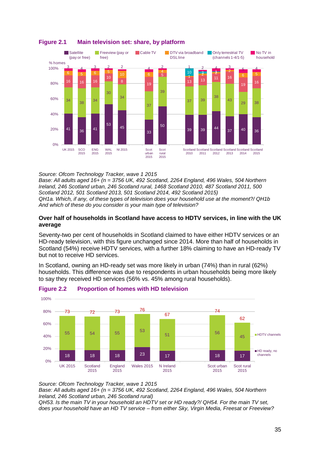

# **Figure 2.1 Main television set: share, by platform**

*Source: Ofcom Technology Tracker, wave 1 2015*

*Base: All adults aged 16+ (n = 3756 UK, 492 Scotland, 2264 England, 496 Wales, 504 Northern Ireland, 246 Scotland urban, 246 Scotland rural, 1468 Scotland 2010, 487 Scotland 2011, 500 Scotland 2012, 501 Scotland 2013, 501 Scotland 2014, 492 Scotland 2015) QH1a. Which, if any, of these types of television does your household use at the moment?/ QH1b And which of these do you consider is your main type of television?*

#### **Over half of households in Scotland have access to HDTV services, in line with the UK average**

Seventy-two per cent of households in Scotland claimed to have either HDTV services or an HD-ready television, with this figure unchanged since 2014. More than half of households in Scotland (54%) receive HDTV services, with a further 18% claiming to have an HD-ready TV but not to receive HD services.

In Scotland, owning an HD-ready set was more likely in urban (74%) than in rural (62%) households. This difference was due to respondents in urban households being more likely to say they received HD services (56% vs. 45% among rural households).



# **Figure 2.2 Proportion of homes with HD television**

*Source: Ofcom Technology Tracker, wave 1 2015*

*Base: All adults aged 16+ (n = 3756 UK, 492 Scotland, 2264 England, 496 Wales, 504 Northern Ireland, 246 Scotland urban, 246 Scotland rural)*

*QH53. Is the main TV in your household an HDTV set or HD ready?/ QH54. For the main TV set, does your household have an HD TV service – from either Sky, Virgin Media, Freesat or Freeview?*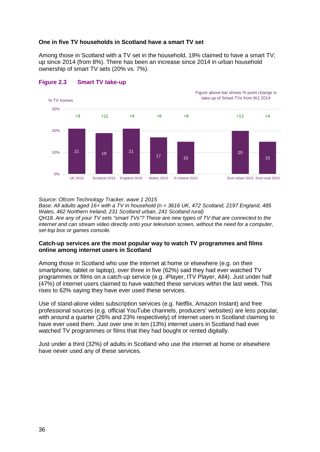## **One in five TV households in Scotland have a smart TV set**

Among those in Scotland with a TV set in the household, 19% claimed to have a smart TV; up since 2014 (from 8%). There has been an increase since 2014 in urban household ownership of smart TV sets (20% vs. 7%).





Figure above bar shows % point change in

*Source: Ofcom Technology Tracker, wave 1 2015*

*Base: All adults aged 16+ with a TV in household (n = 3616 UK, 472 Scotland, 2197 England, 485 Wales, 462 Northern Ireland, 231 Scotland urban, 241 Scotland rural)*

*QH18. Are any of your TV sets "smart TVs"? These are new types of TV that are connected to the internet and can stream video directly onto your television screen, without the need for a computer, set-top box or games console.* 

#### **Catch-up services are the most popular way to watch TV programmes and films online among internet users in Scotland**

Among those in Scotland who use the internet at home or elsewhere (e.g. on their smartphone, tablet or laptop), over three in five (62%) said they had ever watched TV programmes or films on a catch-up service (e.g. iPlayer, ITV Player, All4). Just under half (47%) of internet users claimed to have watched these services within the last week. This rises to 62% saying they have ever used these services.

Use of stand-alone video subscription services (e.g. Netflix, Amazon Instant) and free professional sources (e.g. official YouTube channels, producers' websites) are less popular, with around a quarter (26% and 23% respectively) of internet users in Scotland claiming to have ever used them. Just over one in ten (13%) internet users in Scotland had ever watched TV programmes or films that they had bought or rented digitally.

Just under a third (32%) of adults in Scotland who use the internet at home or elsewhere have never used any of these services.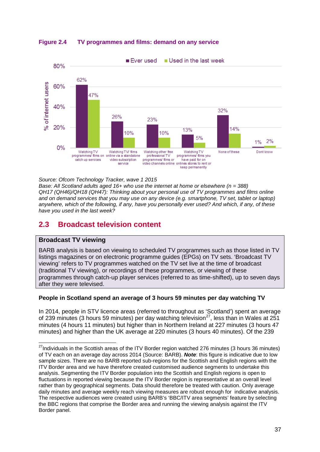

**Figure 2.4 TV programmes and films: demand on any service**

*Source: Ofcom Technology Tracker, wave 1 2015*

*Base: All Scotland adults aged 16+ who use the internet at home or elsewhere (n = 388) QH17 (QH46)/QH18 (QH47): Thinking about your personal use of TV programmes and films online and on demand services that you may use on any device (e.g. smartphone, TV set, tablet or laptop) anywhere, which of the following, if any, have you personally ever used? And which, if any, of these have you used in the last week?*

# **2.3 Broadcast television content**

#### **Broadcast TV viewing**

BARB analysis is based on viewing to scheduled TV programmes such as those listed in TV listings magazines or on electronic programme guides (EPGs) on TV sets. 'Broadcast TV viewing' refers to TV programmes watched on the TV set live at the time of broadcast (traditional TV viewing), or recordings of these programmes, or viewing of these programmes through catch-up player services (referred to as time-shifted), up to seven days after they were televised.

#### **People in Scotland spend an average of 3 hours 59 minutes per day watching TV**

In 2014, people in STV licence areas (referred to throughout as 'Scotland') spent an average of 239 minutes (3 hours 59 minutes) per day watching television<sup>[27](#page-38-0)</sup>, less than in Wales at 251 minutes (4 hours 11 minutes) but higher than in Northern Ireland at 227 minutes (3 hours 47 minutes) and higher than the UK average at 220 minutes (3 hours 40 minutes). Of the 239

<span id="page-38-0"></span> $^{27}$ Individuals in the Scottish areas of the ITV Border region watched 276 minutes (3 hours 36 minutes) of TV each on an average day across 2014 (Source: BARB). *Note*: this figure is indicative due to low sample sizes. There are no BARB reported sub-regions for the Scottish and English regions with the ITV Border area and we have therefore created customised audience segments to undertake this analysis. Segmenting the ITV Border population into the Scottish and English regions is open to fluctuations in reported viewing because the ITV Border region is representative at an overall level rather than by geographical segments. Data should therefore be treated with caution. Only average daily minutes and average weekly reach viewing measures are robust enough for indicative analysis. The respective audiences were created using BARB's 'BBC/ITV area segments' feature by selecting the BBC regions that comprise the Border area and running the viewing analysis against the ITV Border panel.  $\overline{a}$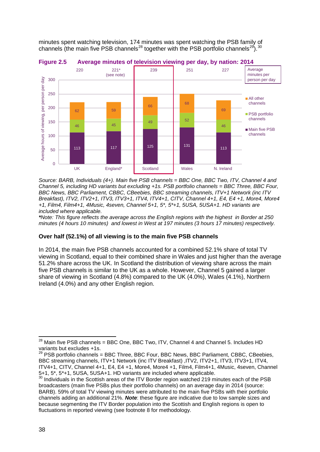minutes spent watching television, 174 minutes was spent watching the PSB family of channels (the main five PSB channels<sup>[28](#page-39-0)</sup> together with the PSB portfolio channels<sup>[29](#page-39-1)</sup>).<sup>[30](#page-39-2)</sup>



#### **Figure 2.5 Average minutes of television viewing per day, by nation: 2014**

*Source: BARB, Individuals (4+). Main five PSB channels = BBC One, BBC Two, ITV, Channel 4 and Channel 5, including HD variants but excluding +1s. PSB portfolio channels = BBC Three, BBC Four, BBC News, BBC Parliament, CBBC, CBeebies, BBC streaming channels, ITV+1 Network (inc ITV Breakfast), ITV2, ITV2+1, ITV3, ITV3+1, ITV4, ITV4+1, CITV, Channel 4+1, E4, E4 +1, More4, More4 +1, Film4, Film4+1, 4Music, 4seven, Channel 5+1, 5\*, 5\*+1, 5USA, 5USA+1. HD variants are included where applicable.*

*\*Note: This figure reflects the average across the English regions with the highest in Border at 250 minutes (4 hours 10 minutes) and lowest in West at 197 minutes (3 hours 17 minutes) respectively.*

# **Over half (52.1%) of all viewing is to the main five PSB channels**

In 2014, the main five PSB channels accounted for a combined 52.1% share of total TV viewing in Scotland, equal to their combined share in Wales and just higher than the average 51.2% share across the UK. In Scotland the distribution of viewing share across the main five PSB channels is similar to the UK as a whole. However, Channel 5 gained a larger share of viewing in Scotland (4.8%) compared to the UK (4.0%), Wales (4.1%), Northern Ireland (4.0%) and any other English region.

<span id="page-39-0"></span> $^{28}$  Main five PSB channels = BBC One, BBC Two, ITV, Channel 4 and Channel 5. Includes HD variants but excludes +1s.  $\overline{a}$ 

<span id="page-39-1"></span> $^{29}$  PSB portfolio channels = BBC Three, BBC Four, BBC News, BBC Parliament, CBBC, CBeebies, BBC streaming channels, ITV+1 Network (inc ITV Breakfast) ,ITV2, ITV2+1, ITV3, ITV3+1, ITV4, ITV4+1, CITV, Channel 4+1, E4, E4 +1, More4, More4 +1, Film4, Film4+1, 4Music, 4seven, Channel<br>5+1, 5\*, 5\*+1, 5USA, 5USA+1. HD variants are included where applicable.

<span id="page-39-2"></span> $30$  Individuals in the Scottish areas of the ITV Border region watched 219 minutes each of the PSB broadcasters (main five PSBs plus their portfolio channels) on an average day in 2014 (source: BARB). 59% of total TV viewing minutes were attributed to the main five PSBs with their portfolio channels adding an additional 21%. *Note*: these figure are indicative due to low sample sizes and because segmenting the ITV Border population into the Scottish and English regions is open to fluctuations in reported viewing (see footnote 8 for methodology.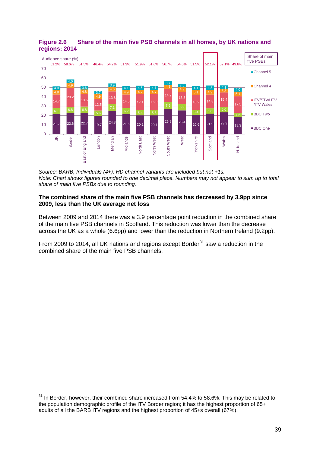

#### **Figure 2.6 Share of the main five PSB channels in all homes, by UK nations and regions: 2014**

*Source: BARB, Individuals (4+). HD channel variants are included but not +1s. Note: Chart shows figures rounded to one decimal place. Numbers may not appear to sum up to total share of main five PSBs due to rounding.*

#### **The combined share of the main five PSB channels has decreased by 3.9pp since 2009, less than the UK average net loss**

Between 2009 and 2014 there was a 3.9 percentage point reduction in the combined share of the main five PSB channels in Scotland. This reduction was lower than the decrease across the UK as a whole (6.6pp) and lower than the reduction in Northern Ireland (9.2pp).

From 2009 to 2014, all UK nations and regions except Border $31$  saw a reduction in the combined share of the main five PSB channels.

<span id="page-40-0"></span> $31$  In Border, however, their combined share increased from 54.4% to 58.6%. This may be related to the population demographic profile of the ITV Border region; it has the highest proportion of 65+ adults of all the BARB ITV regions and the highest proportion of 45+s overall (67%).  $\overline{a}$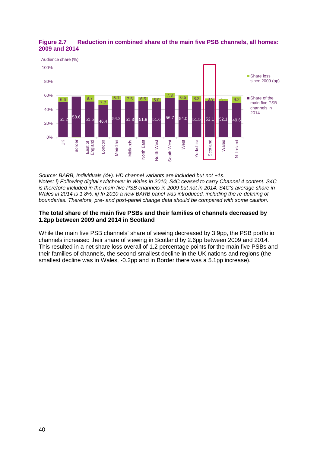## **Figure 2.7 Reduction in combined share of the main five PSB channels, all homes: 2009 and 2014**



*Source: BARB, Individuals (4+). HD channel variants are included but not +1s. Notes: i) Following digital switchover in Wales in 2010, S4C ceased to carry Channel 4 content. S4C is therefore included in the main five PSB channels in 2009 but not in 2014. S4C's average share in Wales in 2014 is 1.8%. ii) In 2010 a new BARB panel was introduced, including the re-defining of boundaries. Therefore, pre- and post-panel change data should be compared with some caution.*

#### **The total share of the main five PSBs and their families of channels decreased by 1.2pp between 2009 and 2014 in Scotland**

While the main five PSB channels' share of viewing decreased by 3.9pp, the PSB portfolio channels increased their share of viewing in Scotland by 2.6pp between 2009 and 2014. This resulted in a net share loss overall of 1.2 percentage points for the main five PSBs and their families of channels, the second-smallest decline in the UK nations and regions (the smallest decline was in Wales, -0.2pp and in Border there was a 5.1pp increase).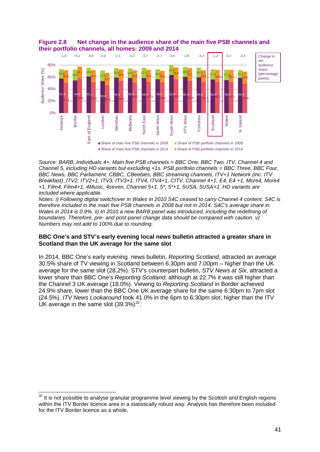

**Figure 2.8 Net change in the audience share of the main five PSB channels and their portfolio channels, all homes: 2009 and 2014**

*Source: BARB, Individuals 4+. Main five PSB channels = BBC One, BBC Two, ITV, Channel 4 and Channel 5, including HD variants but excluding +1s. PSB portfolio channels = BBC Three, BBC Four, BBC News, BBC Parliament, CBBC, CBeebies, BBC streaming channels, ITV+1 Network (inc. ITV Breakfast) ,ITV2, ITV2+1, ITV3, ITV3+1, ITV4, ITV4+1, CITV, Channel 4+1, E4, E4 +1, More4, More4 +1, Film4, Film4+1, 4Music, 4seven, Channel 5+1, 5\*, 5\*+1, 5USA, 5USA+1. HD variants are included where applicable.*

*Notes: i) Following digital switchover in Wales in 2010 S4C ceased to carry Channel 4 content. S4C is therefore included in the main five PSB channels in 2008 but not in 2014. S4C's average share in Wales in 2014 is 0.9%. ii) In 2010 a new BARB panel was introduced, including the redefining of boundaries. Therefore, pre- and post-panel change data should be compared with caution. v) Numbers may not add to 100% due to rounding.*

## **BBC One's and STV's early evening local news bulletin attracted a greater share in Scotland than the UK average for the same slot**

In 2014, BBC One's early evening news bulletin, *Reporting Scotland*, attracted an average 30.5% share of TV viewing in Scotland between 6.30pm and 7.00pm – higher than the UK average for the same slot (28.2%). STV's counterpart bulletin, *STV News at Six*, attracted a lower share than BBC One's *Reporting Scotland*, although at 22.7% it was still higher than the Channel 3 UK average (18.0%). Viewing to *Reporting Scotland* in Border achieved 24.9% share, lower than the BBC One UK average share for the same 6:30pm to 7pm slot (24.5%). *ITV News Lookaround* took 41.0% in the 6pm to 6:30pm slot, higher than the ITV UK average in the same slot  $(39.3\%)^{32}$ .

<span id="page-42-0"></span> $32$  It is not possible to analyse granular programme level viewing by the Scottish and English regions within the ITV Border licence area in a statistically robust way. Analysis has therefore been included for the ITV Border licence as a whole,  $\overline{a}$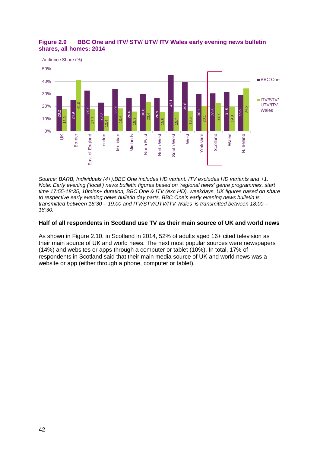

# **Figure 2.9 BBC One and ITV/ STV/ UTV/ ITV Wales early evening news bulletin shares, all homes: 2014**

*Source: BARB, Individuals (4+).BBC One includes HD variant. ITV excludes HD variants and +1. Note: Early evening ('local') news bulletin figures based on 'regional news' genre programmes, start time 17:55-18:35, 10mins+ duration, BBC One & ITV (exc HD), weekdays. UK figures based on share to respective early evening news bulletin day parts. BBC One's early evening news bulletin is transmitted between 18:30 – 19:00 and ITV/STV/UTV/ITV Wales' is transmitted between 18:00 – 18:30.* 

#### **Half of all respondents in Scotland use TV as their main source of UK and world news**

As shown in [Figure 2.10,](#page-44-0) in Scotland in 2014, 52% of adults aged 16+ cited television as their main source of UK and world news. The next most popular sources were newspapers (14%) and websites or apps through a computer or tablet (10%). In total, 17% of respondents in Scotland said that their main media source of UK and world news was a website or app (either through a phone, computer or tablet).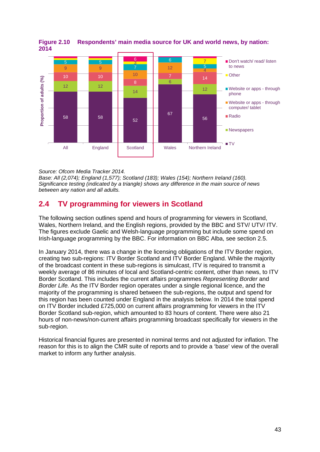

#### <span id="page-44-0"></span>**Figure 2.10 Respondents' main media source for UK and world news, by nation: 2014**

*Source: Ofcom Media Tracker 2014.* 

*Base: All (2,074); England (1,577); Scotland (183); Wales (154); Northern Ireland (160). Significance testing (indicated by a triangle) shows any difference in the main source of news between any nation and all adults.* 

# **2.4 TV programming for viewers in Scotland**

The following section outlines spend and hours of programming for viewers in Scotland, Wales, Northern Ireland, and the English regions, provided by the BBC and STV/ UTV/ ITV. The figures exclude Gaelic and Welsh-language programming but include some spend on Irish-language programming by the BBC. For information on BBC Alba, see section [2.5.](#page-49-0)

In January 2014, there was a change in the licensing obligations of the ITV Border region, creating two sub-regions: ITV Border Scotland and ITV Border England. While the majority of the broadcast content in these sub-regions is simulcast, ITV is required to transmit a weekly average of 86 minutes of local and Scotland-centric content, other than news, to ITV Border Scotland. This includes the current affairs programmes *Representing Border* and *Border Life.* As the ITV Border region operates under a single regional licence, and the majority of the programming is shared between the sub-regions, the output and spend for this region has been counted under England in the analysis below. In 2014 the total spend on ITV Border included £725,000 on current affairs programming for viewers in the ITV Border Scotland sub-region, which amounted to 83 hours of content. There were also 21 hours of non-news/non-current affairs programming broadcast specifically for viewers in the sub-region.

Historical financial figures are presented in nominal terms and not adjusted for inflation. The reason for this is to align the CMR suite of reports and to provide a 'base' view of the overall market to inform any further analysis.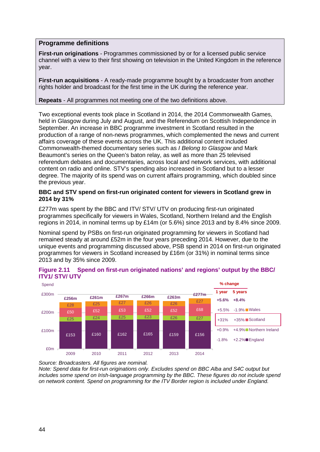# **Programme definitions**

**First-run originations** - Programmes commissioned by or for a licensed public service channel with a view to their first showing on television in the United Kingdom in the reference year.

**First-run acquisitions** - A ready-made programme bought by a broadcaster from another rights holder and broadcast for the first time in the UK during the reference year.

#### **Repeats** - All programmes not meeting one of the two definitions above.

Two exceptional events took place in Scotland in 2014, the 2014 Commonwealth Games, held in Glasgow during July and August, and the Referendum on Scottish Independence in September. An increase in BBC programme investment in Scotland resulted in the production of a range of non-news programmes, which complemented the news and current affairs coverage of these events across the UK. This additional content included Commonwealth-themed documentary series such as *I Belong to Glasgow* and Mark Beaumont's series on the Queen's baton relay, as well as more than 25 televised referendum debates and documentaries, across local and network services, with additional content on radio and online. STV's spending also increased in Scotland but to a lesser degree. The majority of its spend was on current affairs programming, which doubled since the previous year.

#### **BBC and STV spend on first-run originated content for viewers in Scotland grew in 2014 by 31%**

£277m was spent by the BBC and ITV/ STV/ UTV on producing first-run originated programmes specifically for viewers in Wales, Scotland, Northern Ireland and the English regions in 2014, in nominal terms up by £14m (or 5.6%) since 2013 and by 8.4% since 2009.

Nominal spend by PSBs on first-run originated programming for viewers in Scotland had remained steady at around £52m in the four years preceding 2014. However, due to the unique events and programming discussed above, PSB spend in 2014 on first-run originated programmes for viewers in Scotland increased by £16m (or 31%) in nominal terms since 2013 and by 35% since 2009.



#### **Figure 2.11 Spend on first-run originated nations' and regions' output by the BBC/ ITV1/ STV/ UTV**

*Source: Broadcasters. All figures are nominal.* 

*Note: Spend data for first-run originations only. Excludes spend on BBC Alba and S4C output but includes some spend on Irish-language programming by the BBC. These figures do not include spend on network content. Spend on programming for the ITV Border region is included under England.*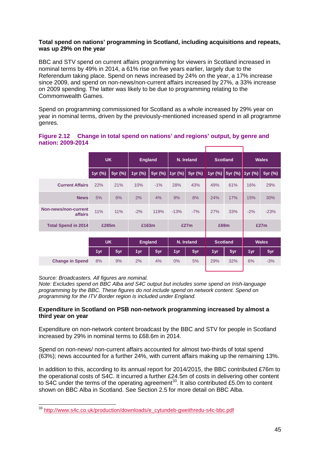#### **Total spend on nations' programming in Scotland, including acquisitions and repeats, was up 29% on the year**

BBC and STV spend on current affairs programming for viewers in Scotland increased in nominal terms by 49% in 2014, a 61% rise on five years earlier, largely due to the Referendum taking place. Spend on news increased by 24% on the year, a 17% increase since 2009, and spend on non-news/non-current affairs increased by 27%, a 33% increase on 2009 spending. The latter was likely to be due to programming relating to the Commomwealth Games.

Spend on programming commissioned for Scotland as a whole increased by 29% year on year in nominal terms, driven by the previously-mentioned increased spend in all programme genres.

|                   | Figure 2.12 Change in total spend on nations' and regions' output, by genre and |  |  |  |
|-------------------|---------------------------------------------------------------------------------|--|--|--|
| nation: 2009-2014 |                                                                                 |  |  |  |

|                                 | <b>UK</b> |         | <b>England</b> |         | N. Ireland |         | <b>Scotland</b> |         | <b>Wales</b> |         |
|---------------------------------|-----------|---------|----------------|---------|------------|---------|-----------------|---------|--------------|---------|
|                                 | 1yr (%)   | 5yr (%) | 1yr (%)        | 5yr (%) | 1yr (%)    | 5yr (%) | 1yr (%)         | 5yr (%) | 1yr (%)      | 5yr (%) |
| <b>Current Affairs</b>          | 22%       | 21%     | 10%            | $-1%$   | 28%        | 43%     | 49%             | 61%     | 16%          | 29%     |
| <b>News</b>                     | 5%        | 6%      | 2%             | 4%      | 9%         | 8%      | 24%             | 17%     | 15%          | 30%     |
| Non-news/non-current<br>affairs | 11%       | 11%     | $-2%$          | 119%    | $-13%$     | $-7%$   | 27%             | 33%     | $-2%$        | $-23%$  |
| <b>Total Spend in 2014</b>      | £285m     |         | £163m          |         | £27m       |         | £69m            |         | £27m         |         |
|                                 | <b>UK</b> |         |                |         |            |         |                 |         |              |         |
|                                 |           |         | <b>England</b> |         | N. Ireland |         | <b>Scotland</b> |         | <b>Wales</b> |         |
|                                 | 1yr       | 5yr     | 1yr            | 5yr     | 1yr        | 5yr     | 1yr             | 5yr     | 1yr          | 5yr     |
| <b>Change in Spend</b>          | 8%        | 9%      | 2%             | 4%      | $0\%$      | 5%      | 29%             | 32%     | 6%           | $-3%$   |

*Source: Broadcasters. All figures are nominal.*

*Note: Excludes spend on BBC Alba and S4C output but includes some spend on Irish-language programming by the BBC. These figures do not include spend on network content. Spend on programming for the ITV Border region is included under England.*

#### **Expenditure in Scotland on PSB non-network programming increased by almost a third year on year**

Expenditure on non-network content broadcast by the BBC and STV for people in Scotland increased by 29% in nominal terms to £68.6m in 2014.

Spend on non-news/ non-current affairs accounted for almost two-thirds of total spend (63%); news accounted for a further 24%, with current affairs making up the remaining 13%.

In addition to this, according to its annual report for 2014/2015, the BBC contributed £76m to the operational costs of S4C. It incurred a further £24.5m of costs in delivering other content to S4C under the terms of the operating agreement<sup>[33](#page-46-0)</sup>. It also contributed £5.0m to content shown on BBC Alba in Scotland. See Section [2.5](#page-49-0) for more detail on BBC Alba.

<span id="page-46-0"></span><sup>&</sup>lt;sup>33</sup> [http://www.s4c.co.uk/production/downloads/e\\_cytundeb-gweithredu-s4c-bbc.pdf](http://www.s4c.co.uk/production/downloads/e_cytundeb-gweithredu-s4c-bbc.pdf)  $\overline{a}$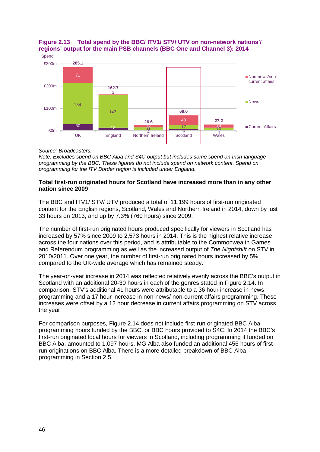

# **Figure 2.13 Total spend by the BBC/ ITV1/ STV/ UTV on non-network nations'/ regions' output for the main PSB channels (BBC One and Channel 3): 2014**

#### *Source: Broadcasters.*

*Note: Excludes spend on BBC Alba and S4C output but includes some spend on Irish-language programming by the BBC. These figures do not include spend on network content. Spend on programming for the ITV Border region is included under England.*

#### **Total first-run originated hours for Scotland have increased more than in any other nation since 2009**

The BBC and ITV1/ STV/ UTV produced a total of 11,199 hours of first-run originated content for the English regions, Scotland, Wales and Northern Ireland in 2014, down by just 33 hours on 2013, and up by 7.3% (760 hours) since 2009.

The number of first-run originated hours produced specifically for viewers in Scotland has increased by 57% since 2009 to 2,573 hours in 2014. This is the highest relative increase across the four nations over this period, and is attributable to the Commonwealth Games and Referendum programming as well as the increased output of *The Nightshift* on STV in 2010/2011. Over one year, the number of first-run originated hours increased by 5% compared to the UK-wide average which has remained steady.

The year-on-year increase in 2014 was reflected relatively evenly across the BBC's output in Scotland with an additional 20-30 hours in each of the genres stated in [Figure 2.14.](#page-48-0) In comparison, STV's additional 41 hours were attributable to a 36 hour increase in news programming and a 17 hour increase in non-news/ non-current affairs programming. These increases were offset by a 12 hour decrease in current affairs programming on STV across the year.

For comparison purposes, [Figure 2.14](#page-48-0) does not include first-run originated BBC Alba programming hours funded by the BBC, or BBC hours provided to S4C. In 2014 the BBC's first-run originated local hours for viewers in Scotland, including programming it funded on BBC Alba, amounted to 1,097 hours. MG Alba also funded an additional 456 hours of firstrun originations on BBC Alba. There is a more detailed breakdown of BBC Alba programming in Section [2.5.](#page-49-0)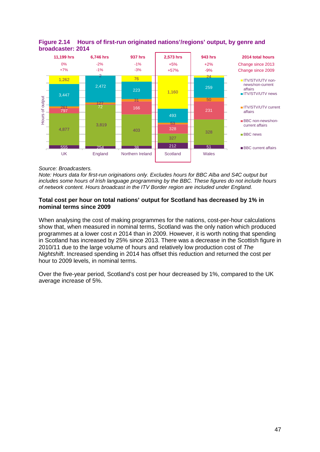

# <span id="page-48-0"></span>**Figure 2.14 Hours of first-run originated nations'/regions' output, by genre and broadcaster: 2014**

#### *Source: Broadcasters.*

*Note: Hours data for first-run originations only. Excludes hours for BBC Alba and S4C output but includes some hours of Irish language programming by the BBC. These figures do not include hours of network content. Hours broadcast in the ITV Border region are included under England.*

#### **Total cost per hour on total nations' output for Scotland has decreased by 1% in nominal terms since 2009**

When analysing the cost of making programmes for the nations, cost-per-hour calculations show that, when measured in nominal terms, Scotland was the only nation which produced programmes at a lower cost in 2014 than in 2009. However, it is worth noting that spending in Scotland has increased by 25% since 2013. There was a decrease in the Scottish figure in 2010/11 due to the large volume of hours and relatively low production cost of *The Nightshift*. Increased spending in 2014 has offset this reduction and returned the cost per hour to 2009 levels, in nominal terms.

Over the five-year period, Scotland's cost per hour decreased by 1%, compared to the UK average increase of 5%.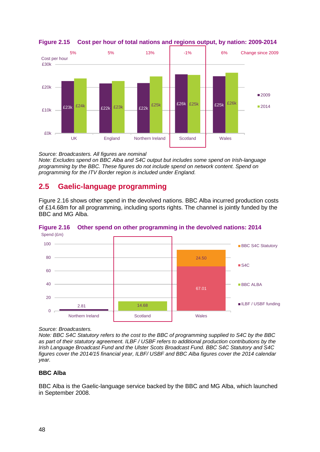



*Source: Broadcasters. All figures are nominal Note: Excludes spend on BBC Alba and S4C output but includes some spend on Irish-language programming by the BBC. These figures do not include spend on network content. Spend on programming for the ITV Border region is included under England.*

# <span id="page-49-0"></span>**2.5 Gaelic-language programming**

[Figure 2.16](#page-49-1) shows other spend in the devolved nations. BBC Alba incurred production costs of £14.68m for all programming, including sports rights. The channel is jointly funded by the BBC and MG Alba.



<span id="page-49-1"></span>



#### *Source: Broadcasters.*

*Note: BBC S4C Statutory refers to the cost to the BBC of programming supplied to S4C by the BBC as part of their statutory agreement. ILBF / USBF refers to additional production contributions by the Irish Language Broadcast Fund and the Ulster Scots Broadcast Fund. BBC S4C Statutory and S4C figures cover the 2014/15 financial year, ILBF/ USBF and BBC Alba figures cover the 2014 calendar year.*

# **BBC Alba**

BBC Alba is the Gaelic-language service backed by the BBC and MG Alba, which launched in September 2008.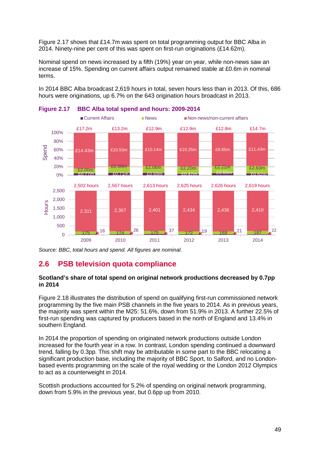[Figure 2.17](#page-50-0) shows that £14.7m was spent on total programming output for BBC Alba in 2014. Ninety-nine per cent of this was spent on first-run originations (£14.62m).

Nominal spend on news increased by a fifth (19%) year on year, while non-news saw an increase of 15%. Spending on current affairs output remained stable at £0.6m in nominal terms.

In 2014 BBC Alba broadcast 2,619 hours in total, seven hours less than in 2013. Of this, 686 hours were originations, up 6.7% on the 643 origination hours broadcast in 2013.



<span id="page-50-0"></span>

*Source: BBC, total hours and spend. All figures are nominal.*

# **2.6 PSB television quota compliance**

#### **Scotland's share of total spend on original network productions decreased by 0.7pp in 2014**

[Figure 2.18](#page-51-0) illustrates the distribution of spend on qualifying first-run commissioned network programming by the five main PSB channels in the five years to 2014. As in previous years, the majority was spent within the M25: 51.6%, down from 51.9% in 2013. A further 22.5% of first-run spending was captured by producers based in the north of England and 13.4% in southern England.

In 2014 the proportion of spending on originated network productions outside London increased for the fourth year in a row. In contrast, London spending continued a downward trend, falling by 0.3pp. This shift may be attributable in some part to the BBC relocating a significant production base, including the majority of BBC Sport, to Salford, and no Londonbased events programming on the scale of the royal wedding or the London 2012 Olympics to act as a counterweight in 2014.

Scottish productions accounted for 5.2% of spending on original network programming, down from 5.9% in the previous year, but 0.6pp up from 2010.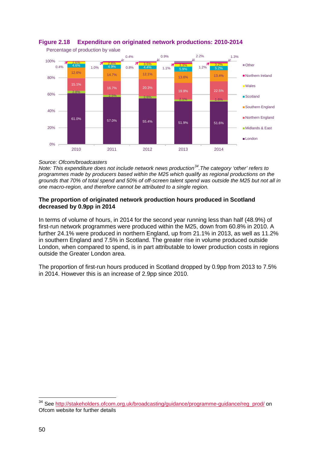

# <span id="page-51-0"></span>**Figure 2.18 Expenditure on originated network productions: 2010-2014**

#### *Source: Ofcom/broadcasters*

*Note: This expenditure does not include network news production[34](#page-51-1).The category 'other' refers to programmes made by producers based within the M25 which qualify as regional productions on the grounds that 70% of total spend and 50% of off-screen talent spend was outside the M25 but not all in one macro-region, and therefore cannot be attributed to a single region.* 

#### **The proportion of originated network production hours produced in Scotland decreased by 0.9pp in 2014**

In terms of volume of hours, in 2014 for the second year running less than half (48.9%) of first-run network programmes were produced within the M25, down from 60.8% in 2010. A further 24.1% were produced in northern England, up from 21.1% in 2013, as well as 11.2% in southern England and 7.5% in Scotland. The greater rise in volume produced outside London, when compared to spend, is in part attributable to lower production costs in regions outside the Greater London area.

The proportion of first-run hours produced in Scotland dropped by 0.9pp from 2013 to 7.5% in 2014. However this is an increase of 2.9pp since 2010.

 $\overline{a}$ 

<span id="page-51-1"></span><sup>&</sup>lt;sup>34</sup> See [http://stakeholders.ofcom.org.uk/broadcasting/guidance/programme-guidance/reg\\_prod/](http://stakeholders.ofcom.org.uk/broadcasting/guidance/programme-guidance/reg_prod/) on Ofcom website for further details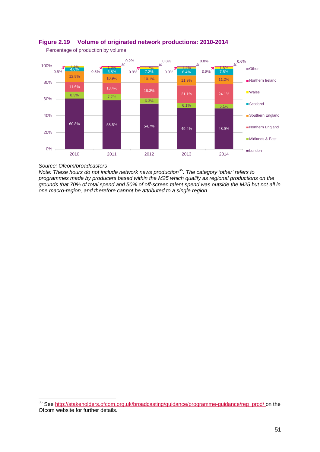

# **Figure 2.19 Volume of originated network productions: 2010-2014**

Percentage of production by volume

#### *Source: Ofcom/broadcasters*

 $\overline{a}$ 

*Note: These hours do not include network news production[35](#page-52-0). The category 'other' refers to programmes made by producers based within the M25 which qualify as regional productions on the grounds that 70% of total spend and 50% of off-screen talent spend was outside the M25 but not all in one macro-region, and therefore cannot be attributed to a single region.*

<span id="page-52-0"></span><sup>&</sup>lt;sup>35</sup> See [http://stakeholders.ofcom.org.uk/broadcasting/guidance/programme-guidance/reg\\_prod/](http://stakeholders.ofcom.org.uk/broadcasting/guidance/programme-guidance/reg_prod/) on the Ofcom website for further details.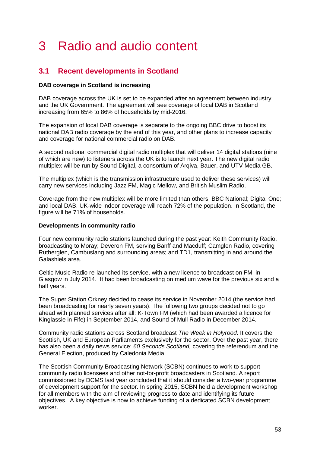# 3 Radio and audio content

# **3.1 Recent developments in Scotland**

## **DAB coverage in Scotland is increasing**

DAB coverage across the UK is set to be expanded after an agreement between industry and the UK Government. The agreement will see coverage of local DAB in Scotland increasing from 65% to 86% of households by mid-2016.

The expansion of local DAB coverage is separate to the ongoing BBC drive to boost its national DAB radio coverage by the end of this year, and other plans to increase capacity and coverage for national commercial radio on DAB.

A second national commercial digital radio multiplex that will deliver 14 digital stations (nine of which are new) to listeners across the UK is to launch next year. The new digital radio multiplex will be run by Sound Digital, a consortium of Arqiva, Bauer, and UTV Media GB.

The multiplex (which is the transmission infrastructure used to deliver these services) will carry new services including Jazz FM, Magic Mellow, and British Muslim Radio.

Coverage from the new multiplex will be more limited than others: BBC National; Digital One; and local DAB. UK-wide indoor coverage will reach 72% of the population. In Scotland, the figure will be 71% of households.

#### **Developments in community radio**

Four new community radio stations launched during the past year: Keith Community Radio, broadcasting to Moray; Deveron FM, serving Banff and Macduff; Camglen Radio, covering Rutherglen, Cambuslang and surrounding areas; and TD1, transmitting in and around the Galashiels area.

Celtic Music Radio re-launched its service, with a new licence to broadcast on FM, in Glasgow in July 2014. It had been broadcasting on medium wave for the previous six and a half years.

The Super Station Orkney decided to cease its service in November 2014 (the service had been broadcasting for nearly seven years). The following two groups decided not to go ahead with planned services after all: K-Town FM (which had been awarded a licence for Kinglassie in Fife) in September 2014, and Sound of Mull Radio in December 2014.

Community radio stations across Scotland broadcast *The Week in Holyrood*. It covers the Scottish, UK and European Parliaments exclusively for the sector. Over the past year, there has also been a daily news service: *60 Seconds Scotland,* covering the referendum and the General Election, produced by Caledonia Media.

The Scottish Community Broadcasting Network (SCBN) continues to work to support community radio licensees and other not-for-profit broadcasters in Scotland. A report commissioned by DCMS last year concluded that it should consider a two-year programme of development support for the sector. In spring 2015, SCBN held a development workshop for all members with the aim of reviewing progress to date and identifying its future objectives. A key objective is now to achieve funding of a dedicated SCBN development worker.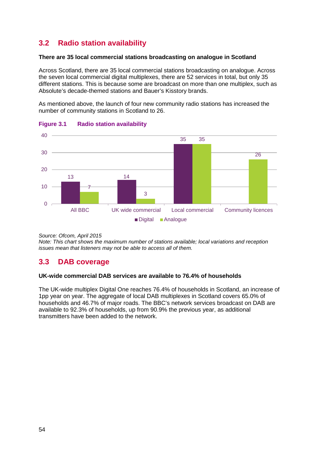# **3.2 Radio station availability**

#### **There are 35 local commercial stations broadcasting on analogue in Scotland**

Across Scotland, there are 35 local commercial stations broadcasting on analogue. Across the seven local commercial digital multiplexes, there are 52 services in total, but only 35 different stations. This is because some are broadcast on more than one multiplex, such as Absolute's decade-themed stations and Bauer's Kisstory brands.

As mentioned above, the launch of four new community radio stations has increased the number of community stations in Scotland to 26.



# **Figure 3.1 Radio station availability**

*Source: Ofcom, April 2015*

*Note: This chart shows the maximum number of stations available; local variations and reception issues mean that listeners may not be able to access all of them.*

# **3.3 DAB coverage**

# **UK-wide commercial DAB services are available to 76.4% of households**

The UK-wide multiplex Digital One reaches 76.4% of households in Scotland, an increase of 1pp year on year. The aggregate of local DAB multiplexes in Scotland covers 65.0% of households and 46.7% of major roads. The BBC's network services broadcast on DAB are available to 92.3% of households, up from 90.9% the previous year, as additional transmitters have been added to the network.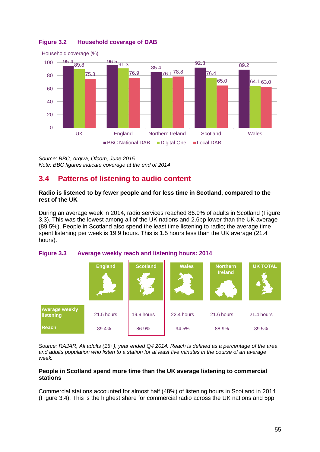

# **Figure 3.2 Household coverage of DAB**

*Source: BBC, Arqiva, Ofcom, June 2015 Note: BBC figures indicate coverage at the end of 2014*

# **3.4 Patterns of listening to audio content**

#### **Radio is listened to by fewer people and for less time in Scotland, compared to the rest of the UK**

During an average week in 2014, radio services reached 86.9% of adults in Scotland [\(Figure](#page-56-0)  [3.3\)](#page-56-0). This was the lowest among all of the UK nations and 2.6pp lower than the UK average (89.5%). People in Scotland also spend the least time listening to radio; the average time spent listening per week is 19.9 hours. This is 1.5 hours less than the UK average (21.4 hours).

<span id="page-56-0"></span>



*Source: RAJAR, All adults (15+), year ended Q4 2014. Reach is defined as a percentage of the area and adults population who listen to a station for at least five minutes in the course of an average week.*

#### **People in Scotland spend more time than the UK average listening to commercial stations**

Commercial stations accounted for almost half (48%) of listening hours in Scotland in 2014 [\(Figure 3.4\)](#page-57-0). This is the highest share for commercial radio across the UK nations and 5pp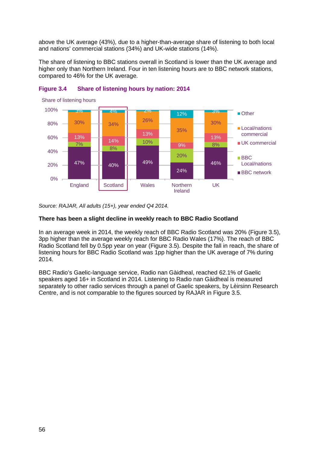above the UK average (43%), due to a higher-than-average share of listening to both local and nations' commercial stations (34%) and UK-wide stations (14%).

The share of listening to BBC stations overall in Scotland is lower than the UK average and higher only than Northern Ireland. Four in ten listening hours are to BBC network stations, compared to 46% for the UK average.



# <span id="page-57-0"></span>**Figure 3.4 Share of listening hours by nation: 2014**

*Source: RAJAR, All adults (15+), year ended Q4 2014.*

#### **There has been a slight decline in weekly reach to BBC Radio Scotland**

In an average week in 2014, the weekly reach of BBC Radio Scotland was 20% [\(Figure 3.5\)](#page-58-0), 3pp higher than the average weekly reach for BBC Radio Wales (17%). The reach of BBC Radio Scotland fell by 0.5pp year on year [\(Figure 3.5\)](#page-58-0). Despite the fall in reach, the share of listening hours for BBC Radio Scotland was 1pp higher than the UK average of 7% during 2014.

BBC Radio's Gaelic-language service, Radio nan Gàidheal, reached 62.1% of Gaelic speakers aged 16+ in Scotland in 2014. Listening to Radio nan Gàidheal is measured separately to other radio services through a panel of Gaelic speakers, by Lèirsinn Research Centre, and is not comparable to the figures sourced by RAJAR in [Figure 3.5.](#page-58-0)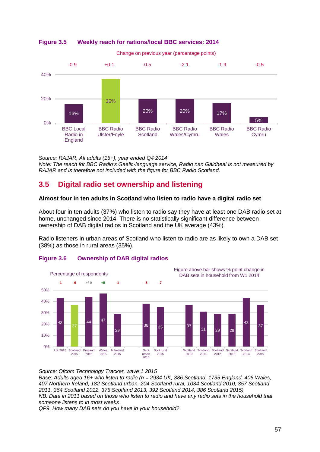

## <span id="page-58-0"></span>**Figure 3.5 Weekly reach for nations/local BBC services: 2014**



*Source: RAJAR, All adults (15+), year ended Q4 2014*

*Note: The reach for BBC Radio's Gaelic-language service, Radio nan Gàidheal is not measured by RAJAR and is therefore not included with the figure for BBC Radio Scotland.*

# **3.5 Digital radio set ownership and listening**

## **Almost four in ten adults in Scotland who listen to radio have a digital radio set**

About four in ten adults (37%) who listen to radio say they have at least one DAB radio set at home, unchanged since 2014. There is no statistically significant difference between ownership of DAB digital radios in Scotland and the UK average (43%).

Radio listeners in urban areas of Scotland who listen to radio are as likely to own a DAB set (38%) as those in rural areas (35%).



# **Figure 3.6 Ownership of DAB digital radios**

*Source: Ofcom Technology Tracker, wave 1 2015*

*Base: Adults aged 16+ who listen to radio (n = 2934 UK, 386 Scotland, 1735 England, 406 Wales, 407 Northern Ireland, 182 Scotland urban, 204 Scotland rural, 1034 Scotland 2010, 357 Scotland 2011, 364 Scotland 2012, 375 Scotland 2013, 392 Scotland 2014, 386 Scotland 2015) NB. Data in 2011 based on those who listen to radio and have any radio sets in the household that someone listens to in most weeks*

*QP9. How many DAB sets do you have in your household?*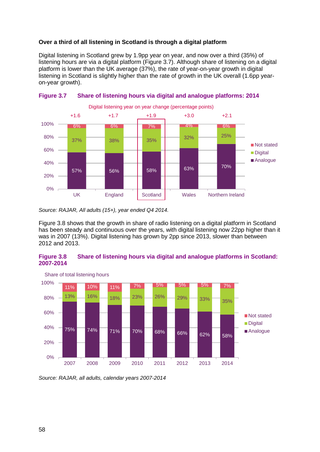## **Over a third of all listening in Scotland is through a digital platform**

Digital listening in Scotland grew by 1.9pp year on year, and now over a third (35%) of listening hours are via a digital platform [\(Figure 3.7\)](#page-59-0). Although share of listening on a digital platform is lower than the UK average (37%), the rate of year-on-year growth in digital listening in Scotland is slightly higher than the rate of growth in the UK overall (1.6pp yearon-year growth).



<span id="page-59-0"></span>

*Source: RAJAR, All adults (15+), year ended Q4 2014.* 

[Figure 3.8](#page-59-1) shows that the growth in share of radio listening on a digital platform in Scotland has been steady and continuous over the years, with digital listening now 22pp higher than it was in 2007 (13%). Digital listening has grown by 2pp since 2013, slower than between 2012 and 2013.

#### <span id="page-59-1"></span>**Figure 3.8 Share of listening hours via digital and analogue platforms in Scotland: 2007-2014**



*Source: RAJAR, all adults, calendar years 2007-2014*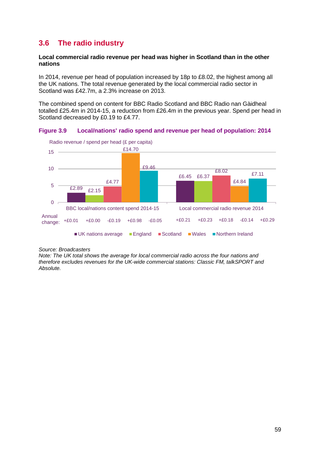# **3.6 The radio industry**

#### **Local commercial radio revenue per head was higher in Scotland than in the other nations**

In 2014, revenue per head of population increased by 18p to £8.02, the highest among all the UK nations. The total revenue generated by the local commercial radio sector in Scotland was £42.7m, a 2.3% increase on 2013.

The combined spend on content for BBC Radio Scotland and BBC Radio nan Gàidheal totalled £25.4m in 2014-15, a reduction from £26.4m in the previous year. Spend per head in Scotland decreased by £0.19 to £4.77.

**Figure 3.9 Local/nations' radio spend and revenue per head of population: 2014**



*Source: Broadcasters*

*Note: The UK total shows the average for local commercial radio across the four nations and therefore excludes revenues for the UK-wide commercial stations: Classic FM, talkSPORT and Absolute.*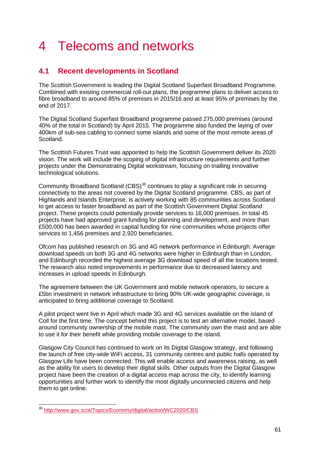# 4 Telecoms and networks

# **4.1 Recent developments in Scotland**

The Scottish Government is leading the Digital Scotland Superfast Broadband Programme. Combined with existing commercial roll-out plans, the programme plans to deliver access to fibre broadband to around 85% of premises in 2015/16 and at least 95% of premises by the end of 2017.

The Digital Scotland Superfast Broadband programme passed 275,000 premises (around 40% of the total in Scotland) by April 2015. The programme also funded the laying of over 400km of sub-sea cabling to connect some islands and some of the most remote areas of Scotland.

The Scottish Futures Trust was appointed to help the Scottish Government deliver its 2020 vision. The work will include the scoping of digital infrastructure requirements and further projects under the Demonstrating Digital workstream, focusing on trialling innovative technological solutions.

Community Broadband Scotland (CBS)<sup>[36](#page-62-0)</sup> continues to play a significant role in securing connectivity to the areas not covered by the Digital Scotland programme. CBS, as part of Highlands and Islands Enterprise, is actively working with 85 communities across Scotland to get access to faster broadband as part of the Scottish Government Digital Scotland project. These projects could potentially provide services to 16,000 premises. In total 45 projects have had approved grant funding for planning and development, and more than £500,000 has been awarded in capital funding for nine communities whose projects offer services to 1,456 premises and 2,920 beneficiaries.

Ofcom has published research on 3G and 4G network performance in Edinburgh. Average download speeds on both 3G and 4G networks were higher in Edinburgh than in London, and Edinburgh recorded the highest average 3G download speed of all the locations tested. The research also noted improvements in performance due to decreased latency and increases in upload speeds in Edinburgh.

The agreement between the UK Government and mobile network operators, to secure a £5bn investment in network infrastructure to bring 90% UK-wide geographic coverage, is anticipated to bring additional coverage to Scotland.

A pilot project went live in April which made 3G and 4G services available on the island of Coll for the first time. The concept behind this project is to test an alternative model, based around community ownership of the mobile mast. The community own the mast and are able to use it for their benefit while providing mobile coverage to the island.

Glasgow City Council has continued to work on its Digital Glasgow strategy, and following the launch of free city-wide WiFi access, 31 community centres and public halls operated by Glasgow Life have been connected. This will enable access and awareness raising, as well as the ability for users to develop their digital skills. Other outputs from the Digital Glasgow project have been the creation of a digital access map across the city, to identify learning opportunities and further work to identify the most digitally unconnected citizens and help them to get online.

<span id="page-62-0"></span><sup>&</sup>lt;sup>36</sup> <http://www.gov.scot/Topics/Economy/digital/action/WC2020/CBS>  $\overline{a}$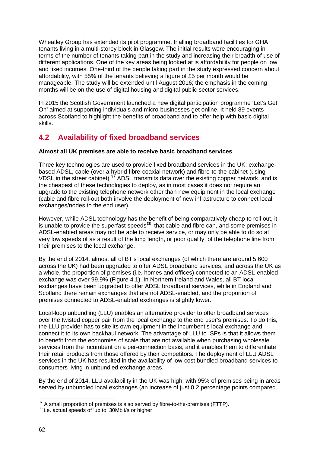Wheatley Group has extended its pilot programme, trialling broadband facilities for GHA tenants living in a multi-storey block in Glasgow. The initial results were encouraging in terms of the number of tenants taking part in the study and increasing their breadth of use of different applications. One of the key areas being looked at is affordability for people on low and fixed incomes. One-third of the people taking part in the study expressed concern about affordability, with 55% of the tenants believing a figure of £5 per month would be manageable. The study will be extended until August 2016; the emphasis in the coming months will be on the use of digital housing and digital public sector services.

In 2015 the Scottish Government launched a new digital participation programme 'Let's Get On' aimed at supporting individuals and micro-businesses get online. It held 89 events across Scotland to highlight the benefits of broadband and to offer help with basic digital skills.

# **4.2 Availability of fixed broadband services**

# **Almost all UK premises are able to receive basic broadband services**

Three key technologies are used to provide fixed broadband services in the UK: exchangebased ADSL, cable (over a hybrid fibre-coaxial network) and fibre-to-the-cabinet (using VDSL in the street cabinet).**[37](#page-63-0)** ADSL transmits data over the existing copper network, and is the cheapest of these technologies to deploy, as in most cases it does not require an upgrade to the existing telephone network other than new equipment in the local exchange (cable and fibre roll-out both involve the deployment of new infrastructure to connect local exchanges/nodes to the end user).

However, while ADSL technology has the benefit of being comparatively cheap to roll out, it is unable to provide the superfast speeds**[38](#page-63-1)** that cable and fibre can, and some premises in ADSL-enabled areas may not be able to receive service, or may only be able to do so at very low speeds of as a result of the long length, or poor quality, of the telephone line from their premises to the local exchange.

By the end of 2014, almost all of BT's local exchanges (of which there are around 5,600 across the UK) had been upgraded to offer ADSL broadband services, and across the UK as a whole, the proportion of premises (i.e. homes and offices) connected to an ADSL-enabled exchange was over 99.9% [\(Figure 4.1\)](#page-64-0). In Northern Ireland and Wales, all BT local exchanges have been upgraded to offer ADSL broadband services, while in England and Scotland there remain exchanges that are not ADSL-enabled, and the proportion of premises connected to ADSL-enabled exchanges is slightly lower.

Local-loop unbundling (LLU) enables an alternative provider to offer broadband services over the twisted copper pair from the local exchange to the end user's premises. To do this, the LLU provider has to site its own equipment in the incumbent's local exchange and connect it to its own backhaul network. The advantage of LLU to ISPs is that it allows them to benefit from the economies of scale that are not available when purchasing wholesale services from the incumbent on a per-connection basis, and it enables them to differentiate their retail products from those offered by their competitors. The deployment of LLU ADSL services in the UK has resulted in the availability of low-cost bundled broadband services to consumers living in unbundled exchange areas.

By the end of 2014, LLU availability in the UK was high, with 95% of premises being in areas served by unbundled local exchanges (an increase of just 0.2 percentage points compared

<span id="page-63-0"></span> $^{37}$  A small proportion of premises is also served by fibre-to-the-premises (FTTP).<br> $^{38}$  i.e. actual speeds of 'up to' 30Mbit/s or higher  $\overline{a}$ 

<span id="page-63-1"></span>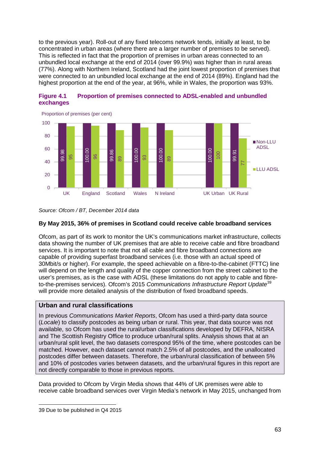to the previous year). Roll-out of any fixed telecoms network tends, initially at least, to be concentrated in urban areas (where there are a larger number of premises to be served). This is reflected in fact that the proportion of premises in urban areas connected to an unbundled local exchange at the end of 2014 (over 99.9%) was higher than in rural areas (77%). Along with Northern Ireland, Scotland had the joint lowest proportion of premises that were connected to an unbundled local exchange at the end of 2014 (89%). England had the highest proportion at the end of the year, at 96%, while in Wales, the proportion was 93%.



<span id="page-64-0"></span>

## **By May 2015, 36% of premises in Scotland could receive cable broadband services**

Ofcom, as part of its work to monitor the UK's communications market infrastructure, collects data showing the number of UK premises that are able to receive cable and fibre broadband services. It is important to note that not all cable and fibre broadband connections are capable of providing superfast broadband services (i.e. those with an actual speed of 30Mbit/s or higher). For example, the speed achievable on a fibre-to-the-cabinet (FTTC) line will depend on the length and quality of the copper connection from the street cabinet to the user's premises, as is the case with ADSL (these limitations do not apply to cable and fibreto-the-premises services). Ofcom's 2015 *Communications Infrastructure Report Update*[39](#page-64-1) will provide more detailed analysis of the distribution of fixed broadband speeds.

# **Urban and rural classifications**

In previous *Communications Market Reports*, Ofcom has used a third-party data source (*Locale*) to classify postcodes as being urban or rural. This year, that data source was not available, so Ofcom has used the rural/urban classifications developed by DEFRA, NISRA and The Scottish Registry Office to produce urban/rural splits. Analysis shows that at an urban/rural split level, the two datasets correspond 95% of the time, where postcodes can be matched. However, each dataset cannot match 2.5% of all postcodes, and the unallocated postcodes differ between datasets. Therefore, the urban/rural classification of between 5% and 10% of postcodes varies between datasets, and the urban/rural figures in this report are not directly comparable to those in previous reports.  $\frac{20}{40}$   $\frac{28}{38}$  89.98 88.98 2015, 36% of premise<br>  $20$   $\frac{10}{38}$  RS 2015, 36% of premise<br>
Of com, as part of its work to modata showing the number of UK<br>
services. It is important to note trapable of providing s

Data provided to Ofcom by Virgin Media shows that 44% of UK premises were able to receive cable broadband services over Virgin Media's network in May 2015, unchanged from

*Source: Ofcom / BT, December 2014 data*

<span id="page-64-1"></span><sup>-</sup>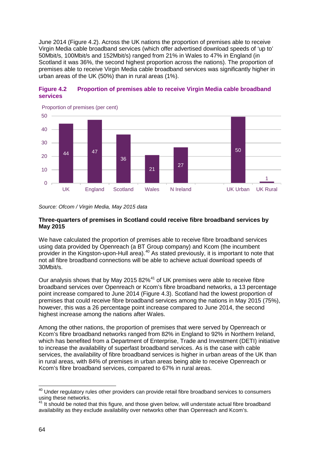June 2014 [\(Figure 4.2\)](#page-65-0). Across the UK nations the proportion of premises able to receive Virgin Media cable broadband services (which offer advertised download speeds of 'up to' 50Mbit/s, 100Mbit/s and 152Mbit/s) ranged from 21% in Wales to 47% in England (in Scotland it was 36%, the second highest proportion across the nations). The proportion of premises able to receive Virgin Media cable broadband services was significantly higher in urban areas of the UK (50%) than in rural areas (1%).



## <span id="page-65-0"></span>**Figure 4.2 Proportion of premises able to receive Virgin Media cable broadband services**

*Source: Ofcom / Virgin Media, May 2015 data*

#### **Three-quarters of premises in Scotland could receive fibre broadband services by May 2015**

We have calculated the proportion of premises able to receive fibre broadband services using data provided by Openreach (a BT Group company) and Kcom (the incumbent provider in the Kingston-upon-Hull area).<sup>[40](#page-65-1)</sup> As stated previously, it is important to note that not all fibre broadband connections will be able to achieve actual download speeds of 30Mbit/s.

Our analysis shows that by May 2015 82%<sup>[41](#page-65-2)</sup> of UK premises were able to receive fibre broadband services over Openreach or Kcom's fibre broadband networks, a 13 percentage point increase compared to June 2014 [\(Figure 4.3\)](#page-66-0). Scotland had the lowest proportion of premises that could receive fibre broadband services among the nations in May 2015 (75%), however, this was a 26 percentage point increase compared to June 2014, the second highest increase among the nations after Wales.

Among the other nations, the proportion of premises that were served by Openreach or Kcom's fibre broadband networks ranged from 82% in England to 92% in Northern Ireland, which has benefited from a Department of Enterprise, Trade and Investment (DETI) initiative to increase the availability of superfast broadband services. As is the case with cable services, the availability of fibre broadband services is higher in urban areas of the UK than in rural areas, with 84% of premises in urban areas being able to receive Openreach or Kcom's fibre broadband services, compared to 67% in rural areas.

<span id="page-65-1"></span> $40$  Under regulatory rules other providers can provide retail fibre broadband services to consumers using these networks.  $\overline{a}$ 

<span id="page-65-2"></span><sup>&</sup>lt;sup>41</sup> It should be noted that this figure, and those given below, will understate actual fibre broadband availability as they exclude availability over networks other than Openreach and Kcom's.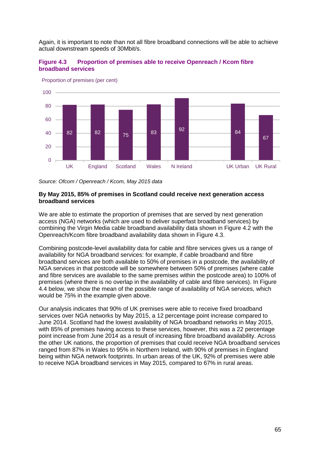Again, it is important to note than not all fibre broadband connections will be able to achieve actual downstream speeds of 30Mbit/s.

<span id="page-66-0"></span>



Proportion of premises (per cent)

*Source: Ofcom / Openreach / Kcom, May 2015 data*

#### **By May 2015, 85% of premises in Scotland could receive next generation access broadband services**

We are able to estimate the proportion of premises that are served by next generation access (NGA) networks (which are used to deliver superfast broadband services) by combining the Virgin Media cable broadband availability data shown in [Figure 4.2](#page-65-0) with the Openreach/Kcom fibre broadband availability data shown in [Figure 4.3.](#page-66-0)

Combining postcode-level availability data for cable and fibre services gives us a range of availability for NGA broadband services: for example, if cable broadband and fibre broadband services are both available to 50% of premises in a postcode, the availability of NGA services in that postcode will be somewhere between 50% of premises (where cable and fibre services are available to the same premises within the postcode area) to 100% of premises (where there is no overlap in the availability of cable and fibre services). In [Figure](#page-67-0)  [4.4](#page-67-0) below, we show the mean of the possible range of availability of NGA services, which would be 75% in the example given above.

Our analysis indicates that 90% of UK premises were able to receive fixed broadband services over NGA networks by May 2015, a 12 percentage point increase compared to June 2014. Scotland had the lowest availability of NGA broadband networks in May 2015, with 85% of premises having access to these services, however, this was a 22 percentage point increase from June 2014 as a result of increasing fibre broadband availability. Across the other UK nations, the proportion of premises that could receive NGA broadband services ranged from 87% in Wales to 95% in Northern Ireland, with 90% of premises in England being within NGA network footprints. In urban areas of the UK, 92% of premises were able to receive NGA broadband services in May 2015, compared to 67% in rural areas.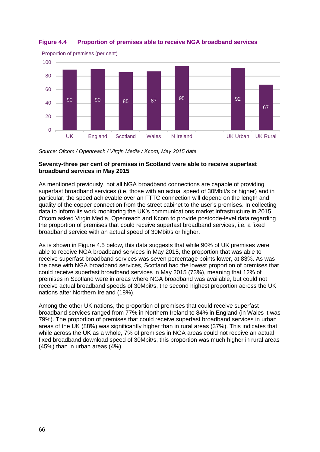

## <span id="page-67-0"></span>**Figure 4.4 Proportion of premises able to receive NGA broadband services**

*Source: Ofcom / Openreach / Virgin Media / Kcom, May 2015 data*

#### **Seventy-three per cent of premises in Scotland were able to receive superfast broadband services in May 2015**

As mentioned previously, not all NGA broadband connections are capable of providing superfast broadband services (i.e. those with an actual speed of 30Mbit/s or higher) and in particular, the speed achievable over an FTTC connection will depend on the length and quality of the copper connection from the street cabinet to the user's premises. In collecting data to inform its work monitoring the UK's communications market infrastructure in 2015, Ofcom asked Virgin Media, Openreach and Kcom to provide postcode-level data regarding the proportion of premises that could receive superfast broadband services, i.e. a fixed broadband service with an actual speed of 30Mbit/s or higher.

As is shown in [Figure 4.5](#page-68-0) below, this data suggests that while 90% of UK premises were able to receive NGA broadband services in May 2015, the proportion that was able to receive superfast broadband services was seven percentage points lower, at 83%. As was the case with NGA broadband services, Scotland had the lowest proportion of premises that could receive superfast broadband services in May 2015 (73%), meaning that 12% of premises in Scotland were in areas where NGA broadband was available, but could not receive actual broadband speeds of 30Mbit/s, the second highest proportion across the UK nations after Northern Ireland (18%).

Among the other UK nations, the proportion of premises that could receive superfast broadband services ranged from 77% in Northern Ireland to 84% in England (in Wales it was 79%). The proportion of premises that could receive superfast broadband services in urban areas of the UK (88%) was significantly higher than in rural areas (37%). This indicates that while across the UK as a whole, 7% of premises in NGA areas could not receive an actual fixed broadband download speed of 30Mbit/s, this proportion was much higher in rural areas (45%) than in urban areas (4%).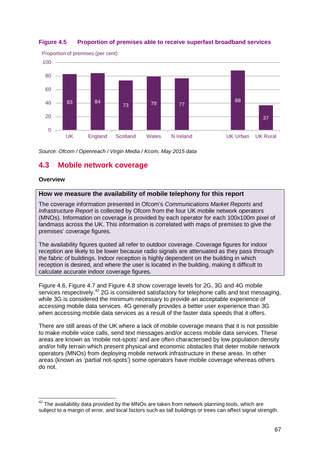

# <span id="page-68-0"></span>**Figure 4.5 Proportion of premises able to receive superfast broadband services**

*Source: Ofcom / Openreach / Virgin Media / Kcom, May 2015 data*

# **4.3 Mobile network coverage**

#### **Overview**

#### **How we measure the availability of mobile telephony for this report**

The coverage information presented in Ofcom's *Communications Market Reports* and *Infrastructure Report* is collected by Ofcom from the four UK mobile network operators (MNOs). Information on coverage is provided by each operator for each 100x100m pixel of landmass across the UK. This information is correlated with maps of premises to give the premises' coverage figures.

The availability figures quoted all refer to outdoor coverage. Coverage figures for indoor reception are likely to be lower because radio signals are attenuated as they pass through the fabric of buildings. Indoor reception is highly dependent on the building in which reception is desired, and where the user is located in the building, making it difficult to calculate accurate indoor coverage figures.

[Figure 4.6,](#page-69-0) [Figure 4.7](#page-70-0) and [Figure 4.8](#page-71-0) show coverage levels for 2G, 3G and 4G mobile services respectively.<sup>[42](#page-68-1)</sup> 2G is considered satisfactory for telephone calls and text messaging, while 3G is considered the minimum necessary to provide an acceptable experience of accessing mobile data services. 4G generally provides a better user experience than 3G when accessing mobile data services as a result of the faster data speeds that it offers.

There are still areas of the UK where a lack of mobile coverage means that it is not possible to make mobile voice calls, send text messages and/or access mobile data services. These areas are known as 'mobile not-spots' and are often characterised by low population density and/or hilly terrain which present physical and economic obstacles that deter mobile network operators (MNOs) from deploying mobile network infrastructure in these areas. In other areas (known as 'partial not-spots') some operators have mobile coverage whereas others do not.

<span id="page-68-1"></span> $42$  The availability data provided by the MNOs are taken from network planning tools, which are subject to a margin of error, and local factors such as tall buildings or trees can affect signal strength.  $\overline{a}$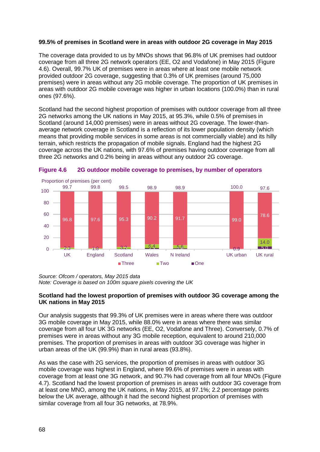#### **99.5% of premises in Scotland were in areas with outdoor 2G coverage in May 2015**

The coverage data provided to us by MNOs shows that 96.8% of UK premises had outdoor coverage from all three 2G network operators (EE, O2 and Vodafone) in May 2015 [\(Figure](#page-69-0)  [4.6\)](#page-69-0). Overall, 99.7% UK of premises were in areas where at least one mobile network provided outdoor 2G coverage, suggesting that 0.3% of UK premises (around 75,000 premises) were in areas without any 2G mobile coverage. The proportion of UK premises in areas with outdoor 2G mobile coverage was higher in urban locations (100.0%) than in rural ones (97.6%).

Scotland had the second highest proportion of premises with outdoor coverage from all three 2G networks among the UK nations in May 2015, at 95.3%, while 0.5% of premises in Scotland (around 14,000 premises) were in areas without 2G coverage. The lower-thanaverage network coverage in Scotland is a reflection of its lower population density (which means that providing mobile services in some areas is not commercially viable) and its hilly terrain, which restricts the propagation of mobile signals. England had the highest 2G coverage across the UK nations, with 97.6% of premises having outdoor coverage from all three 2G networks and 0.2% being in areas without any outdoor 2G coverage.



<span id="page-69-0"></span>

*Source: Ofcom / operators, May 2015 data Note: Coverage is based on 100m square pixels covering the UK*

#### **Scotland had the lowest proportion of premises with outdoor 3G coverage among the UK nations in May 2015**

Our analysis suggests that 99.3% of UK premises were in areas where there was outdoor 3G mobile coverage in May 2015, while 88.0% were in areas where there was similar coverage from all four UK 3G networks (EE, O2, Vodafone and Three). Conversely, 0.7% of premises were in areas without any 3G mobile reception, equivalent to around 210,000 premises. The proportion of premises in areas with outdoor 3G coverage was higher in urban areas of the UK (99.9%) than in rural areas (93.8%).

As was the case with 2G services, the proportion of premises in areas with outdoor 3G mobile coverage was highest in England, where 99.6% of premises were in areas with coverage from at least one 3G network, and 90.7% had coverage from all four MNOs [\(Figure](#page-70-0)  [4.7\)](#page-70-0). Scotland had the lowest proportion of premises in areas with outdoor 3G coverage from at least one MNO, among the UK nations, in May 2015, at 97.1%; 2.2 percentage points below the UK average, although it had the second highest proportion of premises with similar coverage from all four 3G networks, at 78.9%.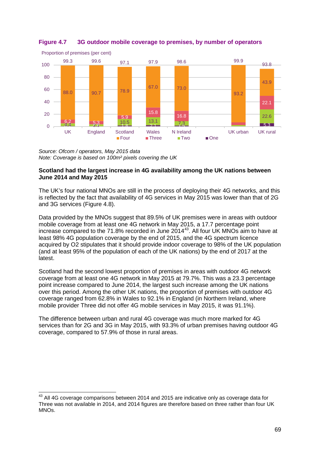

## <span id="page-70-0"></span>**Figure 4.7 3G outdoor mobile coverage to premises, by number of operators**

*Source: Ofcom / operators, May 2015 data Note: Coverage is based on 100m² pixels covering the UK*

#### **Scotland had the largest increase in 4G availability among the UK nations between June 2014 and May 2015**

The UK's four national MNOs are still in the process of deploying their 4G networks, and this is reflected by the fact that availability of 4G services in May 2015 was lower than that of 2G and 3G services [\(Figure 4.8\)](#page-71-0).

Data provided by the MNOs suggest that 89.5% of UK premises were in areas with outdoor mobile coverage from at least one 4G network in May 2015, a 17.7 percentage point increase compared to the 71.8% recorded in June 2014<sup>[43](#page-70-1)</sup>. All four UK MNOs aim to have at least 98% 4G population coverage by the end of 2015, and the 4G spectrum licence acquired by O2 stipulates that it should provide indoor coverage to 98% of the UK population (and at least 95% of the population of each of the UK nations) by the end of 2017 at the latest.

Scotland had the second lowest proportion of premises in areas with outdoor 4G network coverage from at least one 4G network in May 2015 at 79.7%. This was a 23.3 percentage point increase compared to June 2014, the largest such increase among the UK nations over this period. Among the other UK nations, the proportion of premises with outdoor 4G coverage ranged from 62.8% in Wales to 92.1% in England (in Northern Ireland, where mobile provider Three did not offer 4G mobile services in May 2015, it was 91.1%).

The difference between urban and rural 4G coverage was much more marked for 4G services than for 2G and 3G in May 2015, with 93.3% of urban premises having outdoor 4G coverage, compared to 57.9% of those in rural areas.

<span id="page-70-1"></span> $^{43}$  All 4G coverage comparisons between 2014 and 2015 are indicative only as coverage data for Three was not available in 2014, and 2014 figures are therefore based on three rather than four UK MNOs.  $\overline{a}$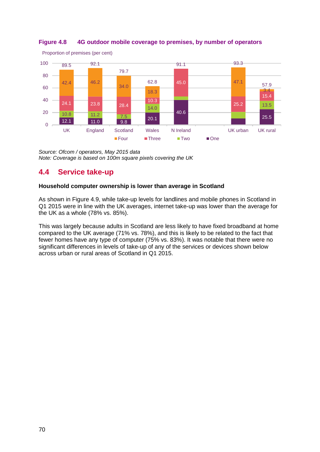

<span id="page-71-0"></span>

*Source: Ofcom / operators, May 2015 data Note: Coverage is based on 100m square pixels covering the UK*

# **4.4 Service take-up**

# **Household computer ownership is lower than average in Scotland**

As shown in [Figure 4.9,](#page-72-0) while take-up levels for landlines and mobile phones in Scotland in Q1 2015 were in line with the UK averages, internet take-up was lower than the average for the UK as a whole (78% vs. 85%).

This was largely because adults in Scotland are less likely to have fixed broadband at home compared to the UK average (71% vs. 78%), and this is likely to be related to the fact that fewer homes have any type of computer (75% vs. 83%). It was notable that there were no significant differences in levels of take-up of any of the services or devices shown below across urban or rural areas of Scotland in Q1 2015.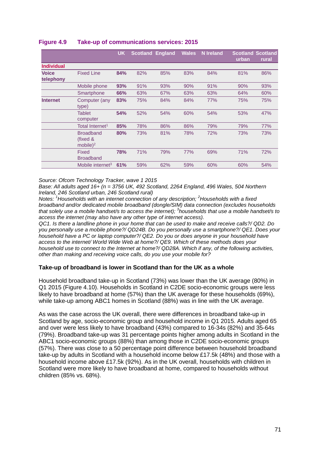|                   |                              | <b>UK</b> |                         |     |              | <b>N</b> Ireland |       | <b>Scotland Scotland</b> |
|-------------------|------------------------------|-----------|-------------------------|-----|--------------|------------------|-------|--------------------------|
|                   |                              |           | <b>Scotland England</b> |     | <b>Wales</b> |                  | urban |                          |
|                   |                              |           |                         |     |              |                  |       | rural                    |
| <b>Individual</b> |                              |           |                         |     |              |                  |       |                          |
| <b>Voice</b>      | <b>Fixed Line</b>            | 84%       | 82%                     | 85% | 83%          | 84%              | 81%   | 86%                      |
| telephony         |                              |           |                         |     |              |                  |       |                          |
|                   | Mobile phone                 | 93%       | 91%                     | 93% | 90%          | 91%              | 90%   | 93%                      |
|                   | Smartphone                   | 66%       | 63%                     | 67% | 63%          | 63%              | 64%   | 60%                      |
| <b>Internet</b>   | Computer (any                | 83%       | 75%                     | 84% | 84%          | 77%              | 75%   | 75%                      |
|                   | type)                        |           |                         |     |              |                  |       |                          |
|                   | <b>Tablet</b>                | 54%       | 52%                     | 54% | 60%          | 54%              | 53%   | 47%                      |
|                   | computer                     |           |                         |     |              |                  |       |                          |
|                   | Total Internet <sup>1</sup>  | 85%       | 78%                     | 86% | 86%          | 79%              | 79%   | 77%                      |
|                   | <b>Broadband</b>             | 80%       | 73%                     | 81% | 78%          | 72%              | 73%   | 73%                      |
|                   | (fixed &                     |           |                         |     |              |                  |       |                          |
|                   | mobile $)^2$                 |           |                         |     |              |                  |       |                          |
|                   | Fixed                        | 78%       | 71%                     | 79% | 77%          | 69%              | 71%   | 72%                      |
|                   | <b>Broadband</b>             |           |                         |     |              |                  |       |                          |
|                   | Mobile internet <sup>3</sup> | 61%       | 59%                     | 62% | 59%          | 60%              | 60%   | 54%                      |
|                   |                              |           |                         |     |              |                  |       |                          |

# **Figure 4.9 Take-up of communications services: 2015**

*Source: Ofcom Technology Tracker, wave 1 2015*

*Base: All adults aged 16+ (n = 3756 UK, 492 Scotland, 2264 England, 496 Wales, 504 Northern Ireland, 246 Scotland urban, 246 Scotland rural)*

*Notes: 1 Households with an internet connection of any description; <sup>2</sup> Households with a fixed broadband and/or dedicated mobile broadband (dongle/SIM) data connection (excludes households that solely use a mobile handset/s to access the internet); <sup>3</sup> households that use a mobile handset/s to access the internet (may also have any other type of internet access).*

*QC1. Is there a landline phone in your home that can be used to make and receive calls?/ QD2. Do you personally use a mobile phone?/ QD24B. Do you personally use a smartphone?/ QE1. Does your household have a PC or laptop computer?/ QE2. Do you or does anyone in your household have access to the internet/ World Wide Web at home?/ QE9. Which of these methods does your household use to connect to the Internet at home?/ QD28A. Which if any, of the following activities, other than making and receiving voice calls, do you use your mobile for?*

# **Take-up of broadband is lower in Scotland than for the UK as a whole**

Household broadband take-up in Scotland (73%) was lower than the UK average (80%) in Q1 2015 [\(Figure 4.10\)](#page-73-0). Households in Scotland in C2DE socio-economic groups were less likely to have broadband at home (57%) than the UK average for these households (69%), while take-up among ABC1 homes in Scotland (88%) was in line with the UK average.

As was the case across the UK overall, there were differences in broadband take-up in Scotland by age, socio-economic group and household income in Q1 2015. Adults aged 65 and over were less likely to have broadband (43%) compared to 16-34s (82%) and 35-64s (79%). Broadband take-up was 31 percentage points higher among adults in Scotland in the ABC1 socio-economic groups (88%) than among those in C2DE socio-economic groups (57%). There was close to a 50 percentage point difference between household broadband take-up by adults in Scotland with a household income below £17.5k (48%) and those with a household income above £17.5k (92%). As in the UK overall, households with children in Scotland were more likely to have broadband at home, compared to households without children (85% vs. 68%).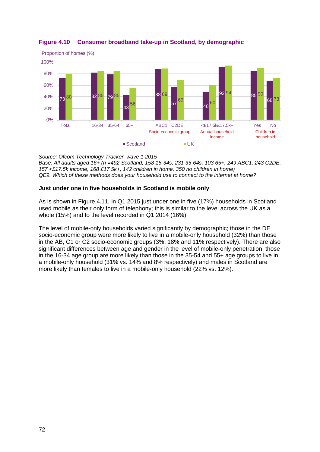

# <span id="page-73-0"></span>**Figure 4.10 Consumer broadband take-up in Scotland, by demographic**

*Source: Ofcom Technology Tracker, wave 1 2015 Base: All adults aged 16+ (n =492 Scotland, 158 16-34s, 231 35-64s, 103 65+, 249 ABC1, 243 C2DE, 157 <£17.5k income, 168 £17.5k+, 142 children in home, 350 no children in home) QE9. Which of these methods does your household use to connect to the internet at home?*

# **Just under one in five households in Scotland is mobile only**

As is shown in [Figure 4.11,](#page-74-0) in Q1 2015 just under one in five (17%) households in Scotland used mobile as their only form of telephony; this is similar to the level across the UK as a whole (15%) and to the level recorded in Q1 2014 (16%).

The level of mobile-only households varied significantly by demographic; those in the DE socio-economic group were more likely to live in a mobile-only household (32%) than those in the AB, C1 or C2 socio-economic groups (3%, 18% and 11% respectively). There are also significant differences between age and gender in the level of mobile-only penetration: those in the 16-34 age group are more likely than those in the 35-54 and 55+ age groups to live in a mobile-only household (31% vs. 14% and 8% respectively) and males in Scotland are more likely than females to live in a mobile-only household (22% vs. 12%).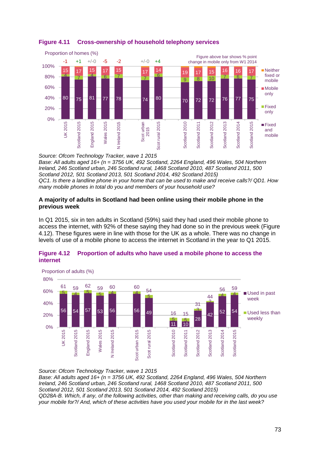

# <span id="page-74-0"></span>**Figure 4.11 Cross-ownership of household telephony services**

*Source: Ofcom Technology Tracker, wave 1 2015 Base: All adults aged 16+ (n = 3756 UK, 492 Scotland, 2264 England, 496 Wales, 504 Northern Ireland, 246 Scotland urban, 246 Scotland rural, 1468 Scotland 2010, 487 Scotland 2011, 500 Scotland 2012, 501 Scotland 2013, 501 Scotland 2014, 492 Scotland 2015) QC1. Is there a landline phone in your home that can be used to make and receive calls?/ QD1. How many mobile phones in total do you and members of your household use?*

# **A majority of adults in Scotland had been online using their mobile phone in the previous week**

In Q1 2015, six in ten adults in Scotland (59%) said they had used their mobile phone to access the internet, with 92% of these saying they had done so in the previous week [\(Figure](#page-74-1)  [4.12\)](#page-74-1). These figures were in line with those for the UK as a whole. There was no change in levels of use of a mobile phone to access the internet in Scotland in the year to Q1 2015.



# <span id="page-74-1"></span>**Figure 4.12 Proportion of adults who have used a mobile phone to access the internet**

*Source: Ofcom Technology Tracker, wave 1 2015 Base: All adults aged 16+ (n = 3756 UK, 492 Scotland, 2264 England, 496 Wales, 504 Northern Ireland, 246 Scotland urban, 246 Scotland rural, 1468 Scotland 2010, 487 Scotland 2011, 500 Scotland 2012, 501 Scotland 2013, 501 Scotland 2014, 492 Scotland 2015) QD28A-B. Which, if any, of the following activities, other than making and receiving calls, do you use your mobile for?/ And, which of these activities have you used your mobile for in the last week?*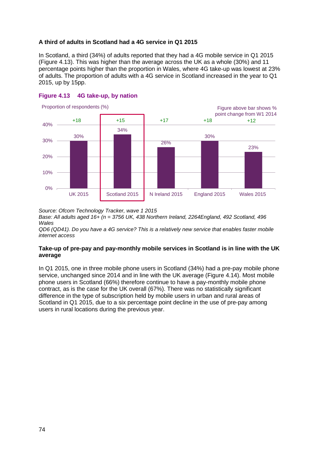# **A third of adults in Scotland had a 4G service in Q1 2015**

In Scotland, a third (34%) of adults reported that they had a 4G mobile service in Q1 2015 [\(Figure 4.13\)](#page-75-0). This was higher than the average across the UK as a whole (30%) and 11 percentage points higher than the proportion in Wales, where 4G take-up was lowest at 23% of adults. The proportion of adults with a 4G service in Scotland increased in the year to Q1 2015, up by 15pp.



## <span id="page-75-0"></span>**Figure 4.13 4G take-up, by nation**

*Source: Ofcom Technology Tracker, wave 1 2015*

*Base: All adults aged 16+ (n = 3756 UK, 438 Northern Ireland, 2264England, 492 Scotland, 496 Wales*

*QD6 (QD41). Do you have a 4G service? This is a relatively new service that enables faster mobile internet access*

# **Take-up of pre-pay and pay-monthly mobile services in Scotland is in line with the UK average**

In Q1 2015, one in three mobile phone users in Scotland (34%) had a pre-pay mobile phone service, unchanged since 2014 and in line with the UK average [\(Figure 4.14\)](#page-76-0). Most mobile phone users in Scotland (66%) therefore continue to have a pay-monthly mobile phone contract, as is the case for the UK overall (67%). There was no statistically significant difference in the type of subscription held by mobile users in urban and rural areas of Scotland in Q1 2015, due to a six percentage point decline in the use of pre-pay among users in rural locations during the previous year.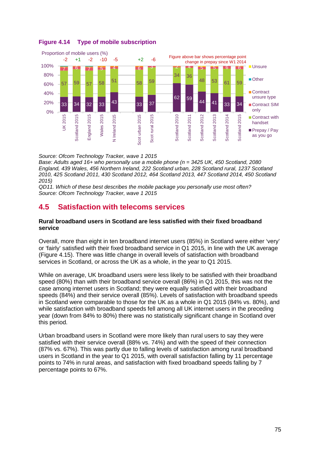

# <span id="page-76-0"></span>**Figure 4.14 Type of mobile subscription**

*Source: Ofcom Technology Tracker, wave 1 2015*

*Base: Adults aged 16+ who personally use a mobile phone (n = 3425 UK, 450 Scotland, 2080 England, 439 Wales, 456 Northern Ireland, 222 Scotland urban, 228 Scotland rural, 1237 Scotland 2010, 425 Scotland 2011, 430 Scotland 2012, 464 Scotland 2013, 447 Scotland 2014, 450 Scotland 2015)*

*QD11. Which of these best describes the mobile package you personally use most often? Source: Ofcom Technology Tracker, wave 1 2015*

# **4.5 Satisfaction with telecoms services**

## **Rural broadband users in Scotland are less satisfied with their fixed broadband service**

Overall, more than eight in ten broadband internet users (85%) in Scotland were either 'very' or 'fairly' satisfied with their fixed broadband service in Q1 2015, in line with the UK average [\(Figure 4.15\)](#page-77-0). There was little change in overall levels of satisfaction with broadband services in Scotland, or across the UK as a whole, in the year to Q1 2015.

While on average, UK broadband users were less likely to be satisfied with their broadband speed (80%) than with their broadband service overall (86%) in Q1 2015, this was not the case among internet users in Scotland; they were equally satisfied with their broadband speeds (84%) and their service overall (85%). Levels of satisfaction with broadband speeds in Scotland were comparable to those for the UK as a whole in Q1 2015 (84% vs. 80%), and while satisfaction with broadband speeds fell among all UK internet users in the preceding year (down from 84% to 80%) there was no statistically significant change in Scotland over this period.

Urban broadband users in Scotland were more likely than rural users to say they were satisfied with their service overall (88% vs. 74%) and with the speed of their connection (87% vs. 67%). This was partly due to falling levels of satisfaction among rural broadband users in Scotland in the year to Q1 2015, with overall satisfaction falling by 11 percentage points to 74% in rural areas, and satisfaction with fixed broadband speeds falling by 7 percentage points to 67%.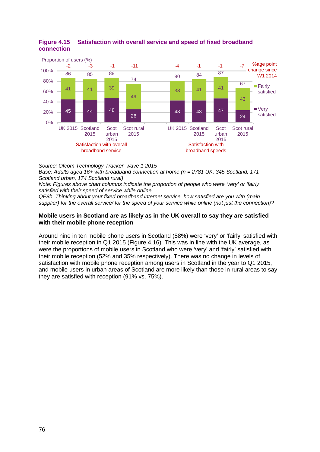

# <span id="page-77-0"></span>**Figure 4.15 Satisfaction with overall service and speed of fixed broadband connection**

*Source: Ofcom Technology Tracker, wave 1 2015*

*Base: Adults aged 16+ with broadband connection at home (n = 2781 UK, 345 Scotland, 171 Scotland urban, 174 Scotland rural)*

*Note: Figures above chart columns indicate the proportion of people who were 'very' or 'fairly' satisfied with their speed of service while online*

*QE8b. Thinking about your fixed broadband internet service, how satisfied are you with (main supplier) for the overall service/ for the speed of your service while online (not just the connection)?*

## **Mobile users in Scotland are as likely as in the UK overall to say they are satisfied with their mobile phone reception**

Around nine in ten mobile phone users in Scotland (88%) were 'very' or 'fairly' satisfied with their mobile reception in Q1 2015 [\(Figure 4.16\)](#page-78-0). This was in line with the UK average, as were the proportions of mobile users in Scotland who were 'very' and 'fairly' satisfied with their mobile reception (52% and 35% respectively). There was no change in levels of satisfaction with mobile phone reception among users in Scotland in the year to Q1 2015, and mobile users in urban areas of Scotland are more likely than those in rural areas to say they are satisfied with reception (91% vs. 75%).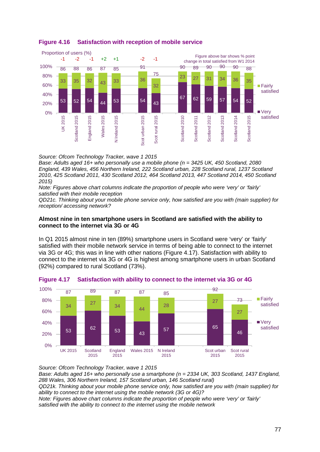

# <span id="page-78-0"></span>**Figure 4.16 Satisfaction with reception of mobile service**

*Source: Ofcom Technology Tracker, wave 1 2015*

*Base: Adults aged 16+ who personally use a mobile phone (n = 3425 UK, 450 Scotland, 2080 England, 439 Wales, 456 Northern Ireland, 222 Scotland urban, 228 Scotland rural, 1237 Scotland 2010, 425 Scotland 2011, 430 Scotland 2012, 464 Scotland 2013, 447 Scotland 2014, 450 Scotland 2015)*

*Note: Figures above chart columns indicate the proportion of people who were 'very' or 'fairly' satisfied with their mobile reception*

*QD21c. Thinking about your mobile phone service only, how satisfied are you with (main supplier) for reception/ accessing network?*

# **Almost nine in ten smartphone users in Scotland are satisfied with the ability to connect to the internet via 3G or 4G**

In Q1 2015 almost nine in ten (89%) smartphone users in Scotland were 'very' or 'fairly' satisfied with their mobile network service in terms of being able to connect to the internet via 3G or 4G; this was in line with other nations [\(Figure 4.17\)](#page-78-1). Satisfaction with ability to connect to the internet via 3G or 4G is highest among smartphone users in urban Scotland (92%) compared to rural Scotland (73%).



# <span id="page-78-1"></span>**Figure 4.17 Satisfaction with ability to connect to the internet via 3G or 4G**

*Source: Ofcom Technology Tracker, wave 1 2015*

*Base: Adults aged 16+ who personally use a smartphone (n = 2334 UK, 303 Scotland, 1437 England, 288 Wales, 306 Northern Ireland, 157 Scotland urban, 146 Scotland rural) QD21k. Thinking about your mobile phone service only, how satisfied are you with (main supplier) for ability to connect to the internet using the mobile network (3G or 4G)? Note: Figures above chart columns indicate the proportion of people who were 'very' or 'fairly' satisfied with the ability to connect to the internet using the mobile network*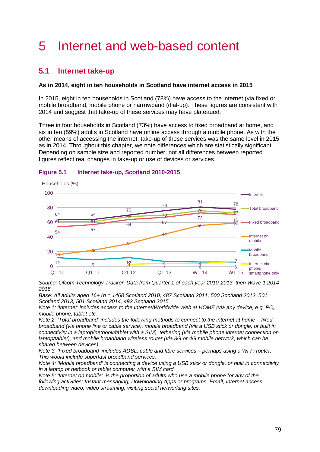# 5 Internet and web-based content

# **5.1 Internet take-up**

# **As in 2014, eight in ten households in Scotland have internet access in 2015**

In 2015, eight in ten households in Scotland (78%) have access to the internet (via fixed or mobile broadband, mobile phone or narrowband (dial-up). These figures are consistent with 2014 and suggest that take-up of these services may have plateaued.

Three in four households in Scotland (73%) have access to fixed broadband at home, and six in ten (59%) adults in Scotland have online access through a mobile phone. As with the other means of accessing the internet, take-up of these services was the same level in 2015 as in 2014. Throughout this chapter, we note differences which are statistically significant. Depending on sample size and reported number, not all differences between reported figures reflect real changes in take-up or use of devices or services.



#### **Figure 5.1 Internet take-up, Scotland 2010-2015**

*Source: Ofcom Technology Tracker. Data from Quarter 1 of each year 2010-2013, then Wave 1 2014- 2015* 

*Base: All adults aged 16+ (n = 1468 Scotland 2010, 487 Scotland 2011, 500 Scotland 2012, 501 Scotland 2013, 501 Scotland 2014, 492 Scotland 2015.*

*Note 1: 'Internet' includes access to the Internet/Worldwide Web at HOME (via any device, e.g. PC, mobile phone, tablet etc.* 

*Note 2: 'Total broadband' includes the following methods to connect to the internet at home – fixed broadband (via phone line or cable service), mobile broadband (via a USB stick or dongle, or built in connectivity in a laptop/netbook/tablet with a SIM), tethering (via mobile phone internet connection on laptop/tablet), and mobile broadband wireless router (via 3G or 4G mobile network, which can be shared between devices).*

*Note 3: 'Fixed broadband' includes ADSL, cable and fibre services – perhaps using a Wi-Fi router. This would include superfast broadband services.*

*Note 4: 'Mobile broadband' is connecting a device using a USB stick or dongle, or built in connectivity in a laptop or netbook or tablet computer with a SIM card.* 

*Note 5: 'Internet on mobile' is the proportion of adults who use a mobile phone for any of the following activities: Instant messaging, Downloading Apps or programs, Email, Internet access, downloading video, video streaming, visiting social networking sites.*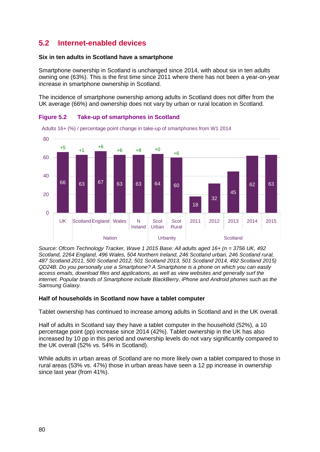# **5.2 Internet-enabled devices**

### **Six in ten adults in Scotland have a smartphone**

Smartphone ownership in Scotland is unchanged since 2014, with about six in ten adults owning one (63%). This is the first time since 2011 where there has not been a year-on-year increase in smartphone ownership in Scotland.

The incidence of smartphone ownership among adults in Scotland does not differ from the UK average (66%) and ownership does not vary by urban or rural location in Scotland.





*Source: Ofcom Technology Tracker, Wave 1 2015 Base: All adults aged 16+ (n = 3756 UK, 492 Scotland, 2264 England, 496 Wales, 504 Northern Ireland, 246 Scotland urban, 246 Scotland rural, 487 Scotland 2011, 500 Scotland 2012, 501 Scotland 2013, 501 Scotland 2014, 492 Scotland 2015) QD24B. Do you personally use a Smartphone? A Smartphone is a phone on which you can easily access emails, download files and applications, as well as view websites and generally surf the internet. Popular brands of Smartphone include BlackBerry, iPhone and Android phones such as the Samsung Galaxy.*

# **Half of households in Scotland now have a tablet computer**

Tablet ownership has continued to increase among adults in Scotland and in the UK overall.

Half of adults in Scotland say they have a tablet computer in the household (52%), a 10 percentage point (pp) increase since 2014 (42%). Tablet ownership in the UK has also increased by 10 pp in this period and ownership levels do not vary significantly compared to the UK overall (52% vs. 54% in Scotland).

While adults in urban areas of Scotland are no more likely own a tablet compared to those in rural areas (53% vs. 47%) those in urban areas have seen a 12 pp increase in ownership since last year (from 41%).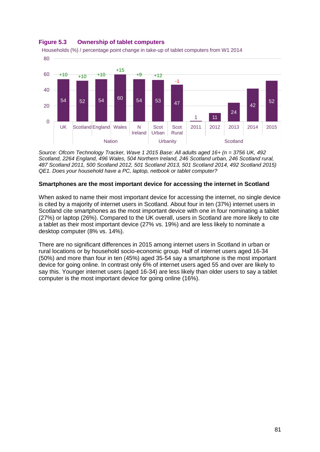

## **Figure 5.3 Ownership of tablet computers**

*Source: Ofcom Technology Tracker, Wave 1 2015 Base: All adults aged 16+ (n = 3756 UK, 492 Scotland, 2264 England, 496 Wales, 504 Northern Ireland, 246 Scotland urban, 246 Scotland rural, 487 Scotland 2011, 500 Scotland 2012, 501 Scotland 2013, 501 Scotland 2014, 492 Scotland 2015) QE1. Does your household have a PC, laptop, netbook or tablet computer?*

# **Smartphones are the most important device for accessing the internet in Scotland**

When asked to name their most important device for accessing the internet, no single device is cited by a majority of internet users in Scotland. About four in ten (37%) internet users in Scotland cite smartphones as the most important device with one in four nominating a tablet (27%) or laptop (26%). Compared to the UK overall, users in Scotland are more likely to cite a tablet as their most important device (27% vs. 19%) and are less likely to nominate a desktop computer (8% vs. 14%).

There are no significant differences in 2015 among internet users in Scotland in urban or rural locations or by household socio-economic group. Half of internet users aged 16-34 (50%) and more than four in ten (45%) aged 35-54 say a smartphone is the most important device for going online. In contrast only 6% of internet users aged 55 and over are likely to say this. Younger internet users (aged 16-34) are less likely than older users to say a tablet computer is the most important device for going online (16%).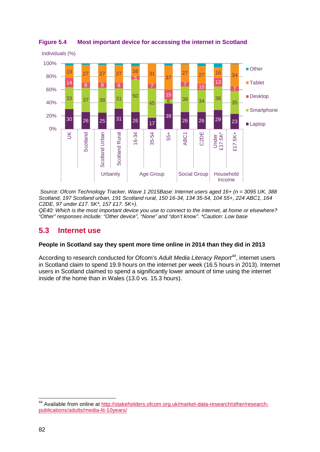

# **Figure 5.4 Most important device for accessing the internet in Scotland**

*Source: Ofcom Technology Tracker, Wave 1 2015Base: Internet users aged 16+ (n = 3095 UK, 388 Scotland, 197 Scotland urban, 191 Scotland rural, 150 16-34, 134 35-54, 104 55+, 224 ABC1, 164 C2DE, 97 under £17. 5K\*, 157 £17. 5K+).* 

*QE40: Which is the most important device you use to connect to the internet, at home or elsewhere? "Other" responses include: "Other device", "None" and "don't know". \*Caution: Low base*

# **5.3 Internet use**

#### **People in Scotland say they spent more time online in 2014 than they did in 2013**

According to research conducted for Ofcom's *Adult Media Literacy Report[44](#page-83-0)*, internet users in Scotland claim to spend 19.9 hours on the internet per week (16.5 hours in 2013). Internet users in Scotland claimed to spend a significantly lower amount of time using the internet inside of the home than in Wales (13.0 vs. 15.3 hours).

 $\overline{a}$ 

<span id="page-83-0"></span><sup>&</sup>lt;sup>44</sup> Available from online at [http://stakeholders.ofcom.org.uk/market-data-research/other/research](http://stakeholders.ofcom.org.uk/market-data-research/other/research-publications/adults/media-lit-10years/)[publications/adults/media-lit-10years/](http://stakeholders.ofcom.org.uk/market-data-research/other/research-publications/adults/media-lit-10years/)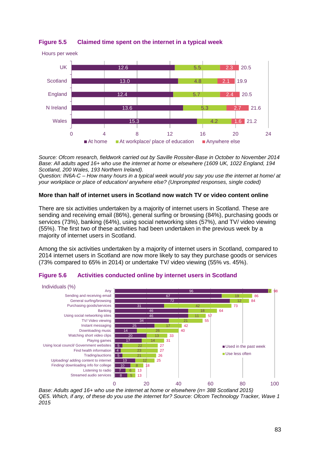

**Figure 5.5 Claimed time spent on the internet in a typical week**

*Source: Ofcom research, fieldwork carried out by Saville Rossiter-Base in October to November 2014 Base: All adults aged 16+ who use the internet at home or elsewhere (1609 UK, 1022 England, 194 Scotland, 200 Wales, 193 Northern Ireland).*

*Question: IN6A-C – How many hours in a typical week would you say you use the internet at home/ at your workplace or place of education/ anywhere else? (Unprompted responses, single coded)*

# **More than half of internet users in Scotland now watch TV or video content online**

There are six activities undertaken by a majority of internet users in Scotland. These are sending and receiving email (86%), general surfing or browsing (84%), purchasing goods or services (73%), banking (64%), using social networking sites (57%), and TV/ video viewing (55%). The first two of these activities had been undertaken in the previous week by a majority of internet users in Scotland.

Among the six activities undertaken by a majority of internet users in Scotland, compared to 2014 internet users in Scotland are now more likely to say they purchase goods or services (73% compared to 65% in 2014) or undertake TV/ video viewing (55% vs. 45%).



#### **Figure 5.6 Activities conducted online by internet users in Scotland**

*Base: Adults aged 16+ who use the internet at home or elsewhere (n= 388 Scotland 2015) QE5. Which, if any, of these do you use the internet for? Source: Ofcom Technology Tracker, Wave 1 2015*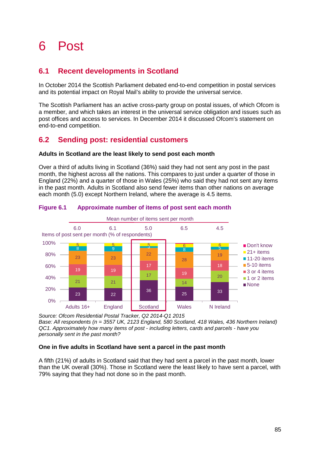# 6 Post

# **6.1 Recent developments in Scotland**

In October 2014 the Scottish Parliament debated end-to-end competition in postal services and its potential impact on Royal Mail's ability to provide the universal service.

The Scottish Parliament has an active cross-party group on postal issues, of which Ofcom is a member, and which takes an interest in the universal service obligation and issues such as post offices and access to services. In December 2014 it discussed Ofcom's statement on end-to-end competition.

# **6.2 Sending post: residential customers**

# **Adults in Scotland are the least likely to send post each month**

Over a third of adults living in Scotland (36%) said they had not sent any post in the past month, the highest across all the nations. This compares to just under a quarter of those in England (22%) and a quarter of those in Wales (25%) who said they had not sent any items in the past month. Adults in Scotland also send fewer items than other nations on average each month (5.0) except Northern Ireland, where the average is 4.5 items.



# **Figure 6.1 Approximate number of items of post sent each month**

*Source: Ofcom Residential Postal Tracker, Q2 2014-Q1 2015 Base: All respondents (n = 3557 UK, 2123 England, 580 Scotland, 418 Wales, 436 Northern Ireland) QC1. Approximately how many items of post - including letters, cards and parcels - have you personally sent in the past month?* 

# **One in five adults in Scotland have sent a parcel in the past month**

A fifth (21%) of adults in Scotland said that they had sent a parcel in the past month, lower than the UK overall (30%). Those in Scotland were the least likely to have sent a parcel, with 79% saying that they had not done so in the past month.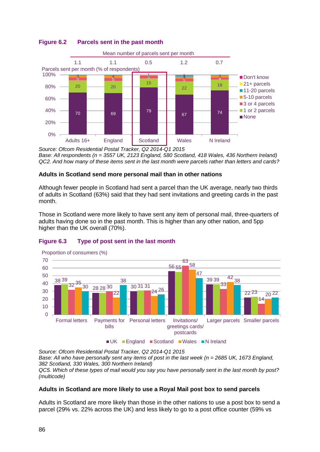

# **Figure 6.2 Parcels sent in the past month**

*Source: Ofcom Residential Postal Tracker, Q2 2014-Q1 2015 Base: All respondents (n = 3557 UK, 2123 England, 580 Scotland, 418 Wales, 436 Northern Ireland) QC2. And how many of these items sent in the last month were parcels rather than letters and cards?* 

# **Adults in Scotland send more personal mail than in other nations**

Although fewer people in Scotland had sent a parcel than the UK average, nearly two thirds of adults in Scotland (63%) said that they had sent invitations and greeting cards in the past month.

Those in Scotland were more likely to have sent any item of personal mail, three-quarters of adults having done so in the past month. This is higher than any other nation, and 5pp higher than the UK overall (70%).





■ UK England B Scotland ■ Wales ■ N Ireland

*Source: Ofcom Residential Postal Tracker, Q2 2014-Q1 2015 Base: All who have personally sent any items of post in the last week (n = 2685 UK, 1673 England, 382 Scotland, 330 Wales, 300 Northern Ireland) QC5. Which of these types of mail would you say you have personally sent in the last month by post? (multicode)* 

# **Adults in Scotland are more likely to use a Royal Mail post box to send parcels**

Adults in Scotland are more likely than those in the other nations to use a post box to send a parcel (29% vs. 22% across the UK) and less likely to go to a post office counter (59% vs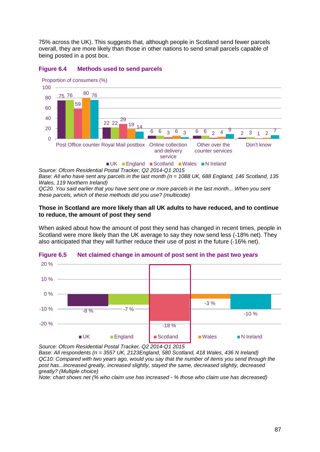75% across the UK). This suggests that, although people in Scotland send fewer parcels overall, they are more likely than those in other nations to send small parcels capable of being posted in a post box.



#### **Figure 6.4 Methods used to send parcels**

*Source: Ofcom Residential Postal Tracker, Q2 2014-Q1 2015 Base: All who have sent any parcels in the last month (n = 1088 UK, 688 England, 146 Scotland, 135 Wales, 119 Northern Ireland)* 

*QC20. You said earlier that you have sent one or more parcels in the last month... When you sent these parcels, which of these methods did you use? (multicode)* 

#### **Those in Scotland are more likely than all UK adults to have reduced, and to continue to reduce, the amount of post they send**

When asked about how the amount of post they send has changed in recent times, people in Scotland were more likely than the UK average to say they now send less (-18% net). They also anticipated that they will further reduce their use of post in the future (-16% net).



#### **Figure 6.5 Net claimed change in amount of post sent in the past two years**

*Source: Ofcom Residential Postal Tracker, Q2 2014-Q1 2015*

*Base: All respondents (n = 3557 UK, 2123England, 580 Scotland, 418 Wales, 436 N Ireland) QC10: Compared with two years ago, would you say that the number of items you send through the post has...increased greatly, increased slightly, stayed the same, decreased slightly, decreased greatly? (Multiple choice)* 

*Note: chart shows net (% who claim use has increased - % those who claim use has decreased)*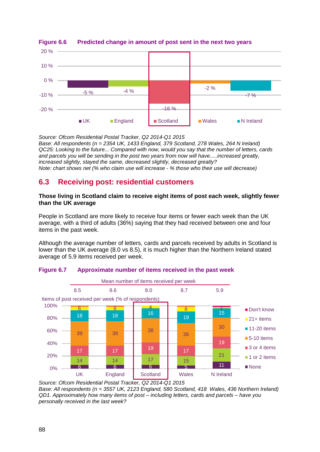

# **Figure 6.6 Predicted change in amount of post sent in the next two years**

*Source: Ofcom Residential Postal Tracker, Q2 2014-Q1 2015 Base: All respondents (n = 2354 UK, 1433 England, 379 Scotland, 278 Wales, 264 N Ireland) QC25: Looking to the future... Compared with now, would you say that the number of letters, cards and parcels you will be sending in the post two years from now will have.....increased greatly, increased slightly, stayed the same, decreased slightly, decreased greatly? Note: chart shows net (% who claim use will increase - % those who their use will decrease)* 

# **6.3 Receiving post: residential customers**

#### **Those living in Scotland claim to receive eight items of post each week, slightly fewer than the UK average**

People in Scotland are more likely to receive four items or fewer each week than the UK average, with a third of adults (36%) saying that they had received between one and four items in the past week.

Although the average number of letters, cards and parcels received by adults in Scotland is lower than the UK average (8.0 vs 8.5), it is much higher than the Northern Ireland stated average of 5.9 items received per week.



#### **Figure 6.7 Approximate number of items received in the past week**

Base: All respondents (n = 3557 UK, 2123 England, 580 Scotland, 418 Wales, 436 Northern Ireland) *QD1. Approximately how many items of post – including letters, cards and parcels – have you personally received in the last week?*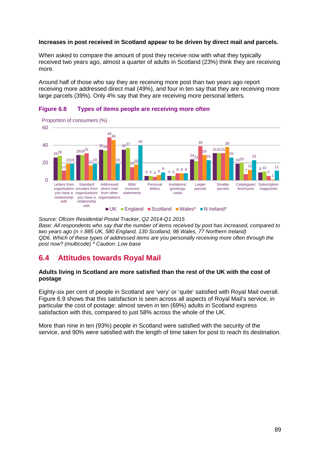## **Increases in post received in Scotland appear to be driven by direct mail and parcels.**

When asked to compare the amount of post they receive now with what they typically received two years ago, almost a quarter of adults in Scotland (23%) think they are receiving more.

Around half of those who say they are receiving more post than two years ago report receiving more addressed direct mail (49%), and four in ten say that they are receiving more large parcels (39%). Only 4% say that they are receiving more personal letters.





*Source: Ofcom Residential Postal Tracker, Q2 2014-Q1 2015 Base: All respondents who say that the number of items received by post has increased, compared to two years ago (n = 885 UK, 580 England, 130 Scotland, 98 Wales, 77 Northern Ireland) QD6. Which of these types of addressed items are you personally receiving more often through the post now? (multicode) \* Caution: Low base*

# **6.4 Attitudes towards Royal Mail**

#### **Adults living in Scotland are more satisfied than the rest of the UK with the cost of postage**

Eighty-six per cent of people in Scotland are 'very' or 'quite' satisfied with Royal Mail overall. [Figure 6.9](#page-91-0) shows that this satisfaction is seen across all aspects of Royal Mail's service, in particular the cost of postage: almost seven in ten (69%) adults in Scotland express satisfaction with this, compared to just 58% across the whole of the UK.

More than nine in ten (93%) people in Scotland were satisfied with the security of the service, and 90% were satisfied with the length of time taken for post to reach its destination.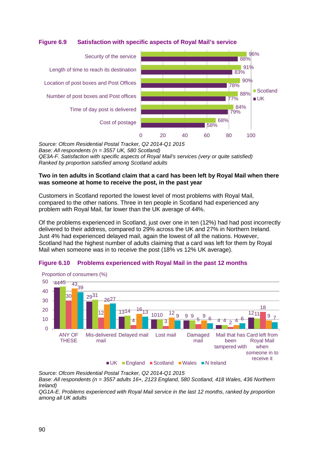# <span id="page-91-0"></span>**Figure 6.9 Satisfaction with specific aspects of Royal Mail's service**



*Source: Ofcom Residential Postal Tracker, Q2 2014-Q1 2015* 

*Base: All respondents (n = 3557 UK, 580 Scotland)* 

*QE3A-F. Satisfaction with specific aspects of Royal Mail's services (very or quite satisfied) Ranked by proportion satisfied among Scotland adults* 

#### **Two in ten adults in Scotland claim that a card has been left by Royal Mail when there was someone at home to receive the post, in the past year**

Customers in Scotland reported the lowest level of most problems with Royal Mail, compared to the other nations. Three in ten people in Scotland had experienced any problem with Royal Mail, far lower than the UK average of 44%.

Of the problems experienced in Scotland, just over one in ten (12%) had had post incorrectly delivered to their address, compared to 29% across the UK and 27% in Northern Ireland. Just 4% had experienced delayed mail, again the lowest of all the nations. However, Scotland had the highest number of adults claiming that a card was left for them by Royal Mail when someone was in to receive the post (18% vs 12% UK average).





*Source: Ofcom Residential Postal Tracker, Q2 2014-Q1 2015 Base: All respondents (n = 3557 adults 16+, 2123 England, 580 Scotland, 418 Wales, 436 Northern Ireland)* 

*QG1A-E. Problems experienced with Royal Mail service in the last 12 months, ranked by proportion among all UK adults*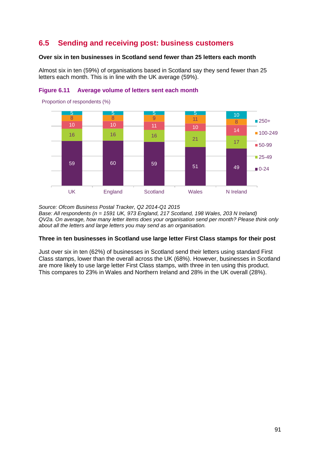# **6.5 Sending and receiving post: business customers**

# **Over six in ten businesses in Scotland send fewer than 25 letters each month**

Almost six in ten (59%) of organisations based in Scotland say they send fewer than 25 letters each month. This is in line with the UK average (59%).



## **Figure 6.11 Average volume of letters sent each month**

*Source: Ofcom Business Postal Tracker, Q2 2014-Q1 2015 Base: All respondents (n = 1591 UK, 973 England, 217 Scotland, 198 Wales, 203 N Ireland) QV2a. On average, how many letter items does your organisation send per month? Please think only about all the letters and large letters you may send as an organisation.* 

# **Three in ten businesses in Scotland use large letter First Class stamps for their post**

Just over six in ten (62%) of businesses in Scotland send their letters using standard First Class stamps, lower than the overall across the UK (68%). However, businesses in Scotland are more likely to use large letter First Class stamps, with three in ten using this product. This compares to 23% in Wales and Northern Ireland and 28% in the UK overall (28%).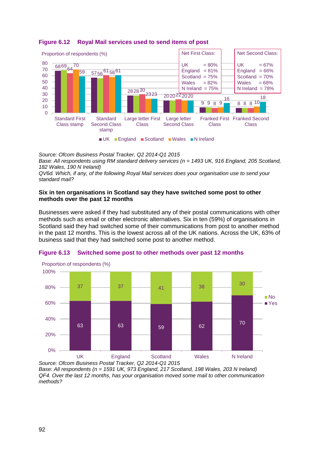

# **Figure 6.12 Royal Mail services used to send items of post**

*Source: Ofcom Business Postal Tracker, Q2 2014-Q1 2015* 

Base: All respondents using RM standard delivery services (n = 1493 UK, 916 England, 205 Scotland, *182 Wales, 190 N Ireland)* 

*QV6d. Which, if any, of the following Royal Mail services does your organisation use to send your standard mail?* 

## **Six in ten organisations in Scotland say they have switched some post to other methods over the past 12 months**

Businesses were asked if they had substituted any of their postal communications with other methods such as email or other electronic alternatives. Six in ten (59%) of organisations in Scotland said they had switched some of their communications from post to another method in the past 12 months. This is the lowest across all of the UK nations. Across the UK, 63% of business said that they had switched some post to another method.



# **Figure 6.13 Switched some post to other methods over past 12 months**

*Base: All respondents (n = 1591 UK, 973 England, 217 Scotland, 198 Wales, 203 N Ireland) QF4. Over the last 12 months, has your organisation moved some mail to other communication methods?*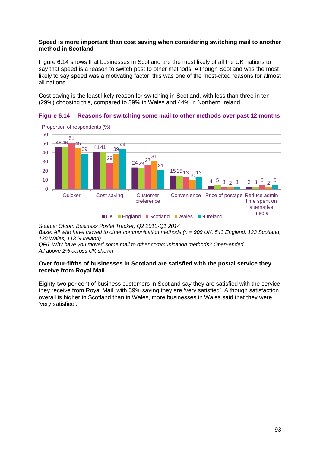## **Speed is more important than cost saving when considering switching mail to another method in Scotland**

[Figure 6.14](#page-94-0) shows that businesses in Scotland are the most likely of all the UK nations to say that speed is a reason to switch post to other methods. Although Scotland was the most likely to say speed was a motivating factor, this was one of the most-cited reasons for almost all nations.

Cost saving is the least likely reason for switching in Scotland, with less than three in ten (29%) choosing this, compared to 39% in Wales and 44% in Northern Ireland.

<span id="page-94-0"></span>



*Source: Ofcom Business Postal Tracker, Q2 2013-Q1 2014* 

Base: All who have moved to other communication methods (n = 909 UK, 543 England, 123 Scotland, *130 Wales, 113 N Ireland)* 

*QF6: Why have you moved some mail to other communication methods? Open-ended All above 2% across UK shown* 

#### **Over four-fifths of businesses in Scotland are satisfied with the postal service they receive from Royal Mail**

Eighty-two per cent of business customers in Scotland say they are satisfied with the service they receive from Royal Mail, with 39% saying they are 'very satisfied'. Although satisfaction overall is higher in Scotland than in Wales, more businesses in Wales said that they were 'very satisfied'.